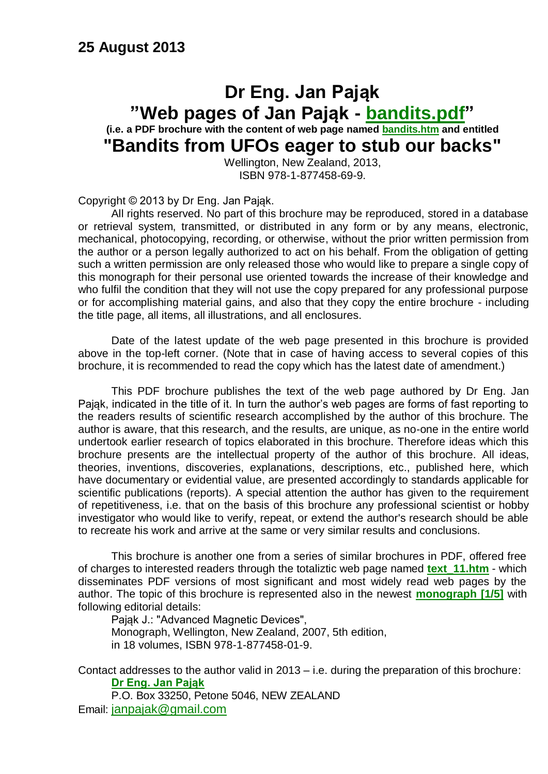#### **Dr Eng. Jan Pająk "Web pages of Jan Pająk - [bandits.pdf"](http://totalizm.com.pl/bandits.pdf) (i.e. a PDF brochure with the content of web page named [bandits.htm](http://totalizm.com.pl/bandits.htm) and entitled "Bandits from UFOs eager to stub our backs"**

Wellington, New Zealand, 2013, ISBN 978-1-877458-69-9.

Copyright © 2013 by Dr Eng. Jan Pająk.

All rights reserved. No part of this brochure may be reproduced, stored in a database or retrieval system, transmitted, or distributed in any form or by any means, electronic, mechanical, photocopying, recording, or otherwise, without the prior written permission from the author or a person legally authorized to act on his behalf. From the obligation of getting such a written permission are only released those who would like to prepare a single copy of this monograph for their personal use oriented towards the increase of their knowledge and who fulfil the condition that they will not use the copy prepared for any professional purpose or for accomplishing material gains, and also that they copy the entire brochure - including the title page, all items, all illustrations, and all enclosures.

Date of the latest update of the web page presented in this brochure is provided above in the top-left corner. (Note that in case of having access to several copies of this brochure, it is recommended to read the copy which has the latest date of amendment.)

This PDF brochure publishes the text of the web page authored by Dr Eng. Jan Pająk, indicated in the title of it. In turn the author's web pages are forms of fast reporting to the readers results of scientific research accomplished by the author of this brochure. The author is aware, that this research, and the results, are unique, as no-one in the entire world undertook earlier research of topics elaborated in this brochure. Therefore ideas which this brochure presents are the intellectual property of the author of this brochure. All ideas, theories, inventions, discoveries, explanations, descriptions, etc., published here, which have documentary or evidential value, are presented accordingly to standards applicable for scientific publications (reports). A special attention the author has given to the requirement of repetitiveness, i.e. that on the basis of this brochure any professional scientist or hobby investigator who would like to verify, repeat, or extend the author's research should be able to recreate his work and arrive at the same or very similar results and conclusions.

This brochure is another one from a series of similar brochures in PDF, offered free of charges to interested readers through the totaliztic web page named **[text\\_11.htm](http://totalizm.com.pl/text_11.htm)** - which disseminates PDF versions of most significant and most widely read web pages by the author. The topic of this brochure is represented also in the newest **[monograph \[1/5\]](http://totalizm.com.pl/text_1_5.htm)** with following editorial details:

Pająk J.: "Advanced Magnetic Devices", Monograph, Wellington, New Zealand, 2007, 5th edition, in 18 volumes, ISBN 978-1-877458-01-9.

Contact addresses to the author valid in 2013 – i.e. during the preparation of this brochure: **[Dr Eng. Jan Pająk](http://images.google.co.nz/images?hl=en&q=Jan+Pajak&btnG=Search+Images&gbv=1)**

P.O. Box 33250, Petone 5046, NEW ZEALAND Email: [janpajak@gmail.com](mailto:%20janpajak@gmail.com)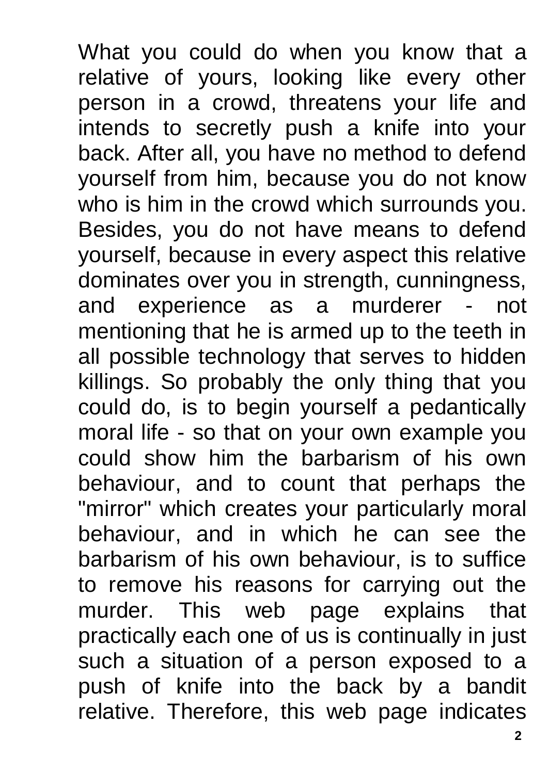What you could do when you know that a relative of yours, looking like every other person in a crowd, threatens your life and intends to secretly push a knife into your back. After all, you have no method to defend yourself from him, because you do not know who is him in the crowd which surrounds you. Besides, you do not have means to defend yourself, because in every aspect this relative dominates over you in strength, cunningness, and experience as a murderer - not mentioning that he is armed up to the teeth in all possible technology that serves to hidden killings. So probably the only thing that you could do, is to begin yourself a pedantically moral life - so that on your own example you could show him the barbarism of his own behaviour, and to count that perhaps the "mirror" which creates your particularly moral behaviour, and in which he can see the barbarism of his own behaviour, is to suffice to remove his reasons for carrying out the murder. This web page explains that practically each one of us is continually in just such a situation of a person exposed to a push of knife into the back by a bandit relative. Therefore, this web page indicates

**2**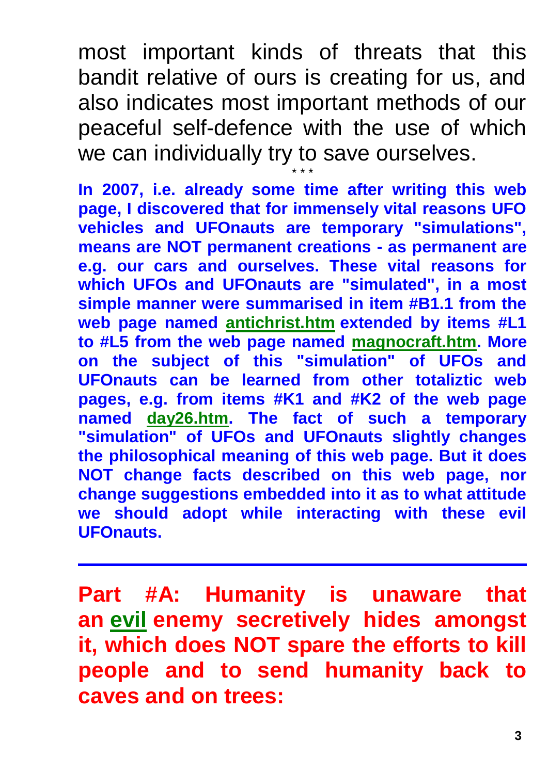most important kinds of threats that this bandit relative of ours is creating for us, and also indicates most important methods of our peaceful self-defence with the use of which we can individually try to save ourselves.

\* \* \* **In 2007, i.e. already some time after writing this web page, I discovered that for immensely vital reasons UFO vehicles and UFOnauts are temporary "simulations", means are NOT permanent creations - as permanent are e.g. our cars and ourselves. These vital reasons for which UFOs and UFOnauts are "simulated", in a most simple manner were summarised in item #B1.1 from the web page named [antichrist.htm](http://totalizm.com.pl/antichrist.htm) extended by items #L1 to #L5 from the web page named [magnocraft.htm.](http://totalizm.com.pl/magnocraft.htm) More on the subject of this "simulation" of UFOs and UFOnauts can be learned from other totaliztic web pages, e.g. from items #K1 and #K2 of the web page named [day26.htm.](http://totalizm.com.pl/day26.htm) The fact of such a temporary "simulation" of UFOs and UFOnauts slightly changes the philosophical meaning of this web page. But it does NOT change facts described on this web page, nor change suggestions embedded into it as to what attitude we should adopt while interacting with these evil UFOnauts.**

**Part #A: Humanity is unaware that an [evil](http://totalizm.com.pl/evil.htm) enemy secretively hides amongst it, which does NOT spare the efforts to kill people and to send humanity back to caves and on trees:**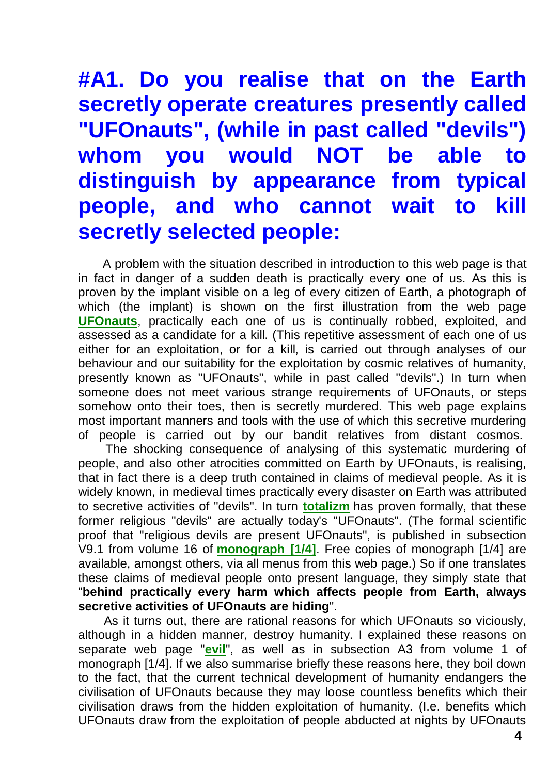# **#A1. Do you realise that on the Earth secretly operate creatures presently called "UFOnauts", (while in past called "devils") whom you would NOT be able to distinguish by appearance from typical people, and who cannot wait to kill secretly selected people:**

A problem with the situation described in introduction to this web page is that in fact in danger of a sudden death is practically every one of us. As this is proven by the implant visible on a leg of every citizen of Earth, a photograph of which (the implant) is shown on the first illustration from the web page **[UFOnauts](http://totalizm.com.pl/ufo.htm)**, practically each one of us is continually robbed, exploited, and assessed as a candidate for a kill. (This repetitive assessment of each one of us either for an exploitation, or for a kill, is carried out through analyses of our behaviour and our suitability for the exploitation by cosmic relatives of humanity, presently known as "UFOnauts", while in past called "devils".) In turn when someone does not meet various strange requirements of UFOnauts, or steps somehow onto their toes, then is secretly murdered. This web page explains most important manners and tools with the use of which this secretive murdering of people is carried out by our bandit relatives from distant cosmos.

The shocking consequence of analysing of this systematic murdering of people, and also other atrocities committed on Earth by UFOnauts, is realising, that in fact there is a deep truth contained in claims of medieval people. As it is widely known, in medieval times practically every disaster on Earth was attributed to secretive activities of "devils". In turn **[totalizm](http://totalizm.com.pl/totalizm.htm)** has proven formally, that these former religious "devils" are actually today's "UFOnauts". (The formal scientific proof that "religious devils are present UFOnauts", is published in subsection V9.1 from volume 16 of **[monograph \[1/4\]](http://totalizm.com.pl/text_1_4.htm)**. Free copies of monograph [1/4] are available, amongst others, via all menus from this web page.) So if one translates these claims of medieval people onto present language, they simply state that "**behind practically every harm which affects people from Earth, always secretive activities of UFOnauts are hiding**".

As it turns out, there are rational reasons for which UFOnauts so viciously, although in a hidden manner, destroy humanity. I explained these reasons on separate web page "**[evil](http://totalizm.com.pl/evil.htm)**", as well as in subsection A3 from volume 1 of monograph [1/4]. If we also summarise briefly these reasons here, they boil down to the fact, that the current technical development of humanity endangers the civilisation of UFOnauts because they may loose countless benefits which their civilisation draws from the hidden exploitation of humanity. (I.e. benefits which UFOnauts draw from the exploitation of people abducted at nights by UFOnauts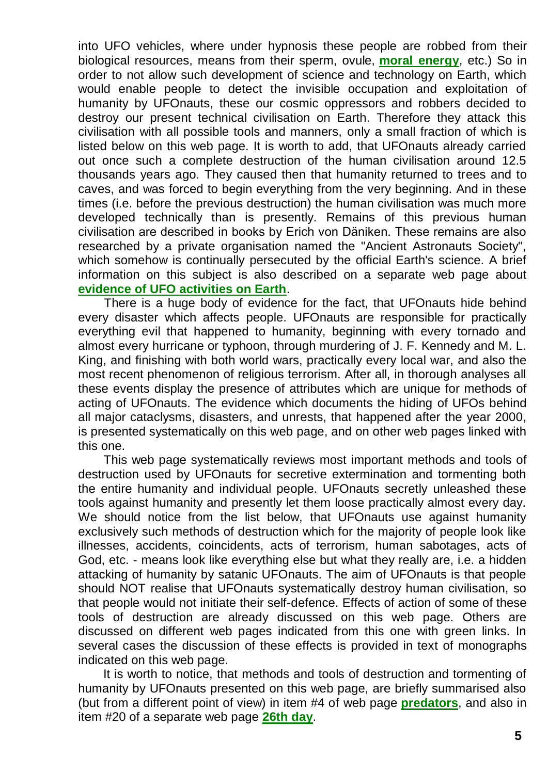into UFO vehicles, where under hypnosis these people are robbed from their biological resources, means from their sperm, ovule, **[moral energy](http://totalizm.com.pl/totalizm.htm)**, etc.) So in order to not allow such development of science and technology on Earth, which would enable people to detect the invisible occupation and exploitation of humanity by UFOnauts, these our cosmic oppressors and robbers decided to destroy our present technical civilisation on Earth. Therefore they attack this civilisation with all possible tools and manners, only a small fraction of which is listed below on this web page. It is worth to add, that UFOnauts already carried out once such a complete destruction of the human civilisation around 12.5 thousands years ago. They caused then that humanity returned to trees and to caves, and was forced to begin everything from the very beginning. And in these times (i.e. before the previous destruction) the human civilisation was much more developed technically than is presently. Remains of this previous human civilisation are described in books by Erich von Däniken. These remains are also researched by a private organisation named the "Ancient Astronauts Society", which somehow is continually persecuted by the official Earth's science. A brief information on this subject is also described on a separate web page about **[evidence of UFO activities on Earth](http://totalizm.com.pl/evidence.htm)**.

There is a huge body of evidence for the fact, that UFOnauts hide behind every disaster which affects people. UFOnauts are responsible for practically everything evil that happened to humanity, beginning with every tornado and almost every hurricane or typhoon, through murdering of J. F. Kennedy and M. L. King, and finishing with both world wars, practically every local war, and also the most recent phenomenon of religious terrorism. After all, in thorough analyses all these events display the presence of attributes which are unique for methods of acting of UFOnauts. The evidence which documents the hiding of UFOs behind all major cataclysms, disasters, and unrests, that happened after the year 2000, is presented systematically on this web page, and on other web pages linked with this one.

This web page systematically reviews most important methods and tools of destruction used by UFOnauts for secretive extermination and tormenting both the entire humanity and individual people. UFOnauts secretly unleashed these tools against humanity and presently let them loose practically almost every day. We should notice from the list below, that UFOnauts use against humanity exclusively such methods of destruction which for the majority of people look like illnesses, accidents, coincidents, acts of terrorism, human sabotages, acts of God, etc. - means look like everything else but what they really are, i.e. a hidden attacking of humanity by satanic UFOnauts. The aim of UFOnauts is that people should NOT realise that UFOnauts systematically destroy human civilisation, so that people would not initiate their self-defence. Effects of action of some of these tools of destruction are already discussed on this web page. Others are discussed on different web pages indicated from this one with green links. In several cases the discussion of these effects is provided in text of monographs indicated on this web page.

It is worth to notice, that methods and tools of destruction and tormenting of humanity by UFOnauts presented on this web page, are briefly summarised also (but from a different point of view) in item #4 of web page **[predators](http://totalizm.com.pl/predators.htm)**, and also in item #20 of a separate web page **[26th day](http://totalizm.com.pl/day26.htm)**.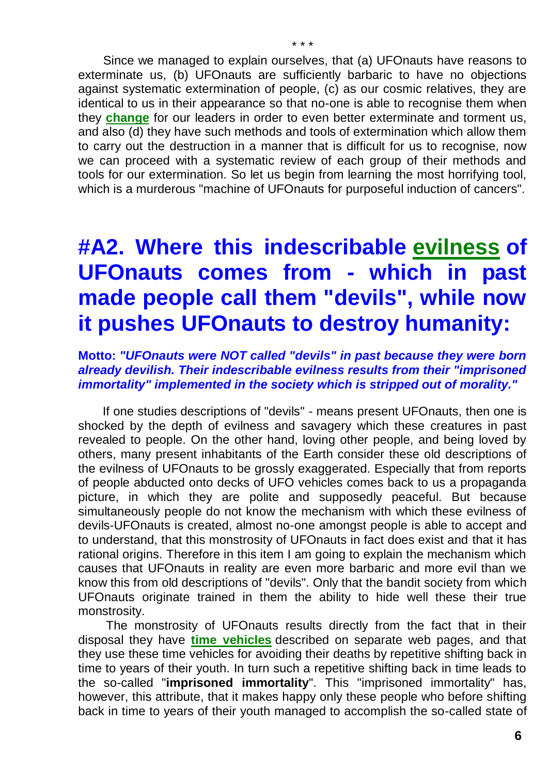Since we managed to explain ourselves, that (a) UFOnauts have reasons to exterminate us, (b) UFOnauts are sufficiently barbaric to have no objections against systematic extermination of people, (c) as our cosmic relatives, they are identical to us in their appearance so that no-one is able to recognise them when they **[change](http://totalizm.com.pl/changelings.htm)** for our leaders in order to even better exterminate and torment us, and also (d) they have such methods and tools of extermination which allow them to carry out the destruction in a manner that is difficult for us to recognise, now we can proceed with a systematic review of each group of their methods and tools for our extermination. So let us begin from learning the most horrifying tool, which is a murderous "machine of UFOnauts for purposeful induction of cancers".

# **#A2. Where this indescribable [evilness](http://totalizm.com.pl/evil.htm) of UFOnauts comes from - which in past made people call them "devils", while now it pushes UFOnauts to destroy humanity:**

#### **Motto:** *"UFOnauts were NOT called "devils" in past because they were born already devilish. Their indescribable evilness results from their "imprisoned immortality" implemented in the society which is stripped out of morality."*

If one studies descriptions of "devils" - means present UFOnauts, then one is shocked by the depth of evilness and savagery which these creatures in past revealed to people. On the other hand, loving other people, and being loved by others, many present inhabitants of the Earth consider these old descriptions of the evilness of UFOnauts to be grossly exaggerated. Especially that from reports of people abducted onto decks of UFO vehicles comes back to us a propaganda picture, in which they are polite and supposedly peaceful. But because simultaneously people do not know the mechanism with which these evilness of devils-UFOnauts is created, almost no-one amongst people is able to accept and to understand, that this monstrosity of UFOnauts in fact does exist and that it has rational origins. Therefore in this item I am going to explain the mechanism which causes that UFOnauts in reality are even more barbaric and more evil than we know this from old descriptions of "devils". Only that the bandit society from which UFOnauts originate trained in them the ability to hide well these their true monstrosity.

The monstrosity of UFOnauts results directly from the fact that in their disposal they have **[time vehicles](http://totalizm.com.pl/timevehicle.htm)** described on separate web pages, and that they use these time vehicles for avoiding their deaths by repetitive shifting back in time to years of their youth. In turn such a repetitive shifting back in time leads to the so-called "**imprisoned immortality**". This "imprisoned immortality" has, however, this attribute, that it makes happy only these people who before shifting back in time to years of their youth managed to accomplish the so-called state of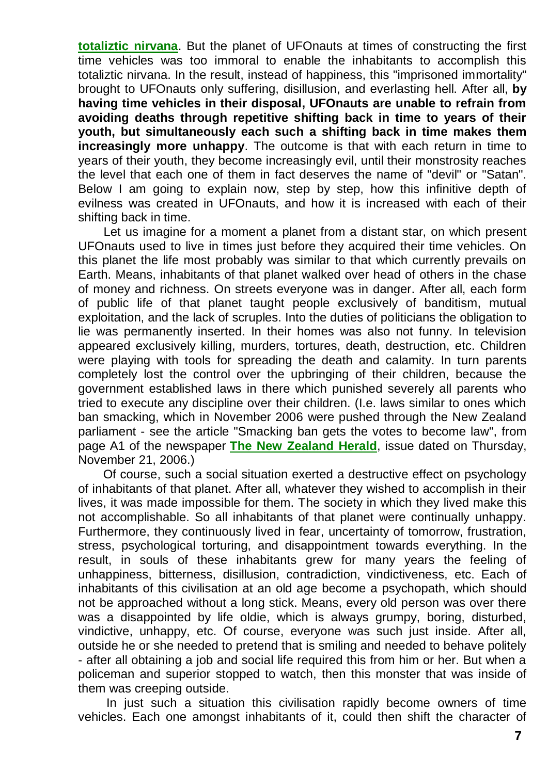**[totaliztic nirvana](http://totalizm.com.pl/nirvana.htm)**. But the planet of UFOnauts at times of constructing the first time vehicles was too immoral to enable the inhabitants to accomplish this totaliztic nirvana. In the result, instead of happiness, this "imprisoned immortality" brought to UFOnauts only suffering, disillusion, and everlasting hell. After all, **by having time vehicles in their disposal, UFOnauts are unable to refrain from avoiding deaths through repetitive shifting back in time to years of their youth, but simultaneously each such a shifting back in time makes them increasingly more unhappy**. The outcome is that with each return in time to years of their youth, they become increasingly evil, until their monstrosity reaches the level that each one of them in fact deserves the name of "devil" or "Satan". Below I am going to explain now, step by step, how this infinitive depth of evilness was created in UFOnauts, and how it is increased with each of their shifting back in time.

Let us imagine for a moment a planet from a distant star, on which present UFOnauts used to live in times just before they acquired their time vehicles. On this planet the life most probably was similar to that which currently prevails on Earth. Means, inhabitants of that planet walked over head of others in the chase of money and richness. On streets everyone was in danger. After all, each form of public life of that planet taught people exclusively of banditism, mutual exploitation, and the lack of scruples. Into the duties of politicians the obligation to lie was permanently inserted. In their homes was also not funny. In television appeared exclusively killing, murders, tortures, death, destruction, etc. Children were playing with tools for spreading the death and calamity. In turn parents completely lost the control over the upbringing of their children, because the government established laws in there which punished severely all parents who tried to execute any discipline over their children. (I.e. laws similar to ones which ban smacking, which in November 2006 were pushed through the New Zealand parliament - see the article "Smacking ban gets the votes to become law", from page A1 of the newspaper **[The New Zealand Herald](http://www.nzherald.co.nz/)**, issue dated on Thursday, November 21, 2006.)

Of course, such a social situation exerted a destructive effect on psychology of inhabitants of that planet. After all, whatever they wished to accomplish in their lives, it was made impossible for them. The society in which they lived make this not accomplishable. So all inhabitants of that planet were continually unhappy. Furthermore, they continuously lived in fear, uncertainty of tomorrow, frustration, stress, psychological torturing, and disappointment towards everything. In the result, in souls of these inhabitants grew for many years the feeling of unhappiness, bitterness, disillusion, contradiction, vindictiveness, etc. Each of inhabitants of this civilisation at an old age become a psychopath, which should not be approached without a long stick. Means, every old person was over there was a disappointed by life oldie, which is always grumpy, boring, disturbed, vindictive, unhappy, etc. Of course, everyone was such just inside. After all, outside he or she needed to pretend that is smiling and needed to behave politely - after all obtaining a job and social life required this from him or her. But when a policeman and superior stopped to watch, then this monster that was inside of them was creeping outside.

In just such a situation this civilisation rapidly become owners of time vehicles. Each one amongst inhabitants of it, could then shift the character of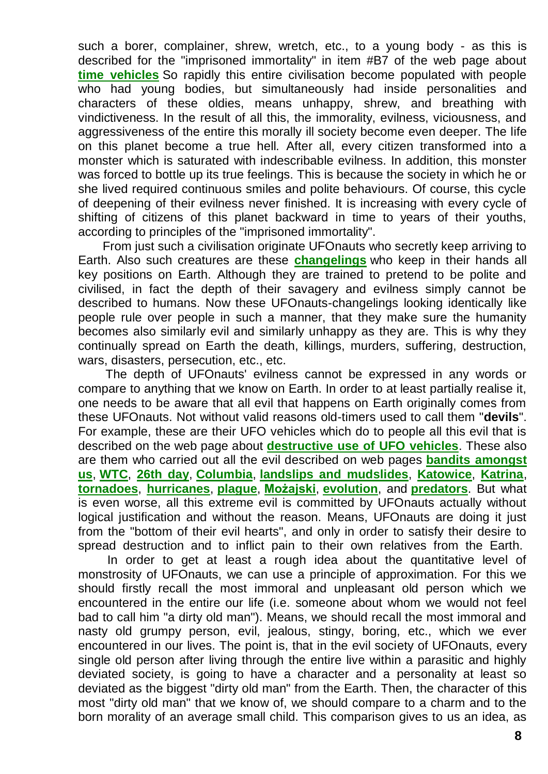such a borer, complainer, shrew, wretch, etc., to a young body - as this is described for the "imprisoned immortality" in item #B7 of the web page about **[time vehicles](http://totalizm.com.pl/timevehicle.htm)** So rapidly this entire civilisation become populated with people who had young bodies, but simultaneously had inside personalities and characters of these oldies, means unhappy, shrew, and breathing with vindictiveness. In the result of all this, the immorality, evilness, viciousness, and aggressiveness of the entire this morally ill society become even deeper. The life on this planet become a true hell. After all, every citizen transformed into a monster which is saturated with indescribable evilness. In addition, this monster was forced to bottle up its true feelings. This is because the society in which he or she lived required continuous smiles and polite behaviours. Of course, this cycle of deepening of their evilness never finished. It is increasing with every cycle of shifting of citizens of this planet backward in time to years of their youths, according to principles of the "imprisoned immortality".

From just such a civilisation originate UFOnauts who secretly keep arriving to Earth. Also such creatures are these **[changelings](http://totalizm.com.pl/changelings.htm)** who keep in their hands all key positions on Earth. Although they are trained to pretend to be polite and civilised, in fact the depth of their savagery and evilness simply cannot be described to humans. Now these UFOnauts-changelings looking identically like people rule over people in such a manner, that they make sure the humanity becomes also similarly evil and similarly unhappy as they are. This is why they continually spread on Earth the death, killings, murders, suffering, destruction, wars, disasters, persecution, etc., etc.

The depth of UFOnauts' evilness cannot be expressed in any words or compare to anything that we know on Earth. In order to at least partially realise it, one needs to be aware that all evil that happens on Earth originally comes from these UFOnauts. Not without valid reasons old-timers used to call them "**devils**". For example, these are their UFO vehicles which do to people all this evil that is described on the web page about **[destructive use of UFO vehicles](http://totalizm.com.pl/military_magnocraft.htm)**. These also are them who carried out all the evil described on web pages **[bandits amongst](http://totalizm.com.pl/bandits.htm)  [us](http://totalizm.com.pl/bandits.htm)**, **[WTC](http://totalizm.com.pl/wtc.htm)**, **[26th day](http://totalizm.com.pl/day26.htm)**, **[Columbia](http://totalizm.com.pl/shuttle.htm)**, **[landslips and mudslides](http://totalizm.com.pl/landslips.htm)**, **[Katowice](http://totalizm.com.pl/katowice_uk.htm)**, **[Katrina](http://totalizm.com.pl/katrina.htm)**, **[tornadoes](http://totalizm.com.pl/tornado.htm)**, **[hurricanes](http://totalizm.com.pl/hurricane.htm)**, **[plague](http://totalizm.com.pl/plague.htm)**, **[Możajski](http://totalizm.com.pl/mozajski_uk.htm)**, **[evolution](http://totalizm.com.pl/evolution.htm)**, and **[predators](http://totalizm.com.pl/predators.htm)**. But what is even worse, all this extreme evil is committed by UFOnauts actually without logical justification and without the reason. Means, UFOnauts are doing it just from the "bottom of their evil hearts", and only in order to satisfy their desire to spread destruction and to inflict pain to their own relatives from the Earth.

In order to get at least a rough idea about the quantitative level of monstrosity of UFOnauts, we can use a principle of approximation. For this we should firstly recall the most immoral and unpleasant old person which we encountered in the entire our life (i.e. someone about whom we would not feel bad to call him "a dirty old man"). Means, we should recall the most immoral and nasty old grumpy person, evil, jealous, stingy, boring, etc., which we ever encountered in our lives. The point is, that in the evil society of UFOnauts, every single old person after living through the entire live within a parasitic and highly deviated society, is going to have a character and a personality at least so deviated as the biggest "dirty old man" from the Earth. Then, the character of this most "dirty old man" that we know of, we should compare to a charm and to the born morality of an average small child. This comparison gives to us an idea, as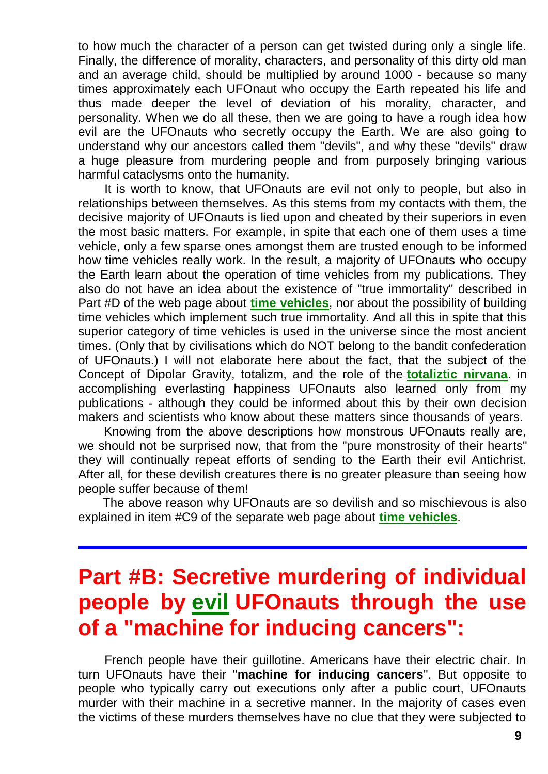to how much the character of a person can get twisted during only a single life. Finally, the difference of morality, characters, and personality of this dirty old man and an average child, should be multiplied by around 1000 - because so many times approximately each UFOnaut who occupy the Earth repeated his life and thus made deeper the level of deviation of his morality, character, and personality. When we do all these, then we are going to have a rough idea how evil are the UFOnauts who secretly occupy the Earth. We are also going to understand why our ancestors called them "devils", and why these "devils" draw a huge pleasure from murdering people and from purposely bringing various harmful cataclysms onto the humanity.

It is worth to know, that UFOnauts are evil not only to people, but also in relationships between themselves. As this stems from my contacts with them, the decisive majority of UFOnauts is lied upon and cheated by their superiors in even the most basic matters. For example, in spite that each one of them uses a time vehicle, only a few sparse ones amongst them are trusted enough to be informed how time vehicles really work. In the result, a majority of UFOnauts who occupy the Earth learn about the operation of time vehicles from my publications. They also do not have an idea about the existence of "true immortality" described in Part #D of the web page about **[time vehicles](http://totalizm.com.pl/timevehicle.htm)**, nor about the possibility of building time vehicles which implement such true immortality. And all this in spite that this superior category of time vehicles is used in the universe since the most ancient times. (Only that by civilisations which do NOT belong to the bandit confederation of UFOnauts.) I will not elaborate here about the fact, that the subject of the Concept of Dipolar Gravity, totalizm, and the role of the **[totaliztic nirvana](http://totalizm.com.pl/nirvana.htm)**. in accomplishing everlasting happiness UFOnauts also learned only from my publications - although they could be informed about this by their own decision makers and scientists who know about these matters since thousands of years.

Knowing from the above descriptions how monstrous UFOnauts really are, we should not be surprised now, that from the "pure monstrosity of their hearts" they will continually repeat efforts of sending to the Earth their evil Antichrist. After all, for these devilish creatures there is no greater pleasure than seeing how people suffer because of them!

The above reason why UFOnauts are so devilish and so mischievous is also explained in item #C9 of the separate web page about **[time vehicles](http://totalizm.com.pl/timevehicle.htm)**.

# **Part #B: Secretive murdering of individual people by [evil](http://totalizm.com.pl/evil.htm) UFOnauts through the use of a "machine for inducing cancers":**

French people have their guillotine. Americans have their electric chair. In turn UFOnauts have their "**machine for inducing cancers**". But opposite to people who typically carry out executions only after a public court, UFOnauts murder with their machine in a secretive manner. In the majority of cases even the victims of these murders themselves have no clue that they were subjected to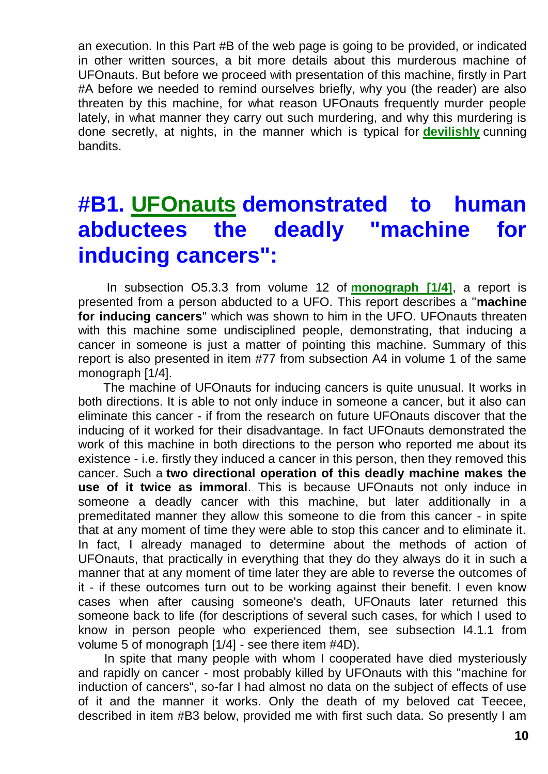an execution. In this Part #B of the web page is going to be provided, or indicated in other written sources, a bit more details about this murderous machine of UFOnauts. But before we proceed with presentation of this machine, firstly in Part #A before we needed to remind ourselves briefly, why you (the reader) are also threaten by this machine, for what reason UFOnauts frequently murder people lately, in what manner they carry out such murdering, and why this murdering is done secretly, at nights, in the manner which is typical for **[devilishly](http://totalizm.com.pl/evil.htm)** cunning bandits.

# **#B1. [UFOnauts](http://totalizm.com.pl/ufo) demonstrated to human abductees the deadly "machine for inducing cancers":**

In subsection O5.3.3 from volume 12 of **[monograph \[1/4\]](http://totalizm.com.pl/text_1_4.htm)**, a report is presented from a person abducted to a UFO. This report describes a "**machine for inducing cancers**" which was shown to him in the UFO. UFOnauts threaten with this machine some undisciplined people, demonstrating, that inducing a cancer in someone is just a matter of pointing this machine. Summary of this report is also presented in item #77 from subsection A4 in volume 1 of the same monograph [1/4].

The machine of UFOnauts for inducing cancers is quite unusual. It works in both directions. It is able to not only induce in someone a cancer, but it also can eliminate this cancer - if from the research on future UFOnauts discover that the inducing of it worked for their disadvantage. In fact UFOnauts demonstrated the work of this machine in both directions to the person who reported me about its existence - i.e. firstly they induced a cancer in this person, then they removed this cancer. Such a **two directional operation of this deadly machine makes the use of it twice as immoral**. This is because UFOnauts not only induce in someone a deadly cancer with this machine, but later additionally in a premeditated manner they allow this someone to die from this cancer - in spite that at any moment of time they were able to stop this cancer and to eliminate it. In fact, I already managed to determine about the methods of action of UFOnauts, that practically in everything that they do they always do it in such a manner that at any moment of time later they are able to reverse the outcomes of it - if these outcomes turn out to be working against their benefit. I even know cases when after causing someone's death, UFOnauts later returned this someone back to life (for descriptions of several such cases, for which I used to know in person people who experienced them, see subsection I4.1.1 from volume 5 of monograph [1/4] - see there item #4D).

In spite that many people with whom I cooperated have died mysteriously and rapidly on cancer - most probably killed by UFOnauts with this "machine for induction of cancers", so-far I had almost no data on the subject of effects of use of it and the manner it works. Only the death of my beloved cat Teecee, described in item #B3 below, provided me with first such data. So presently I am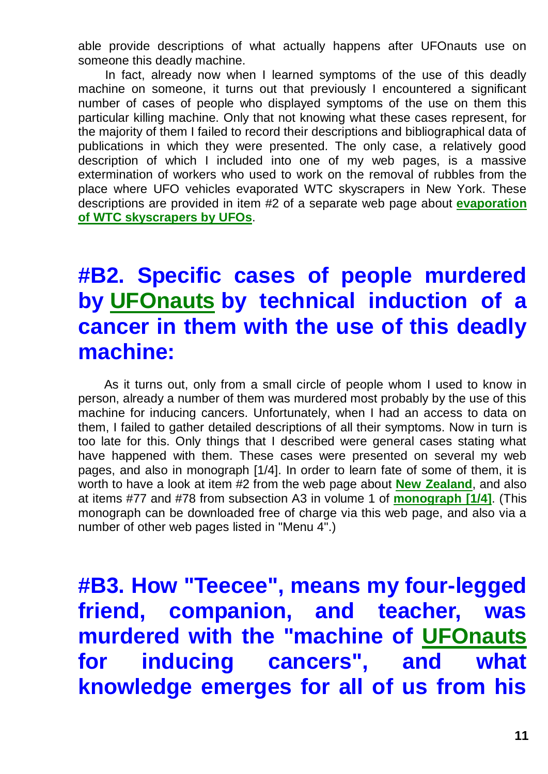able provide descriptions of what actually happens after UFOnauts use on someone this deadly machine.

In fact, already now when I learned symptoms of the use of this deadly machine on someone, it turns out that previously I encountered a significant number of cases of people who displayed symptoms of the use on them this particular killing machine. Only that not knowing what these cases represent, for the majority of them I failed to record their descriptions and bibliographical data of publications in which they were presented. The only case, a relatively good description of which I included into one of my web pages, is a massive extermination of workers who used to work on the removal of rubbles from the place where UFO vehicles evaporated WTC skyscrapers in New York. These descriptions are provided in item #2 of a separate web page about **[evaporation](http://totalizm.com.pl/wtc)  [of WTC skyscrapers by UFOs](http://totalizm.com.pl/wtc)**.

# **#B2. Specific cases of people murdered by [UFOnauts](http://totalizm.com.pl/ufo) by technical induction of a cancer in them with the use of this deadly machine:**

As it turns out, only from a small circle of people whom I used to know in person, already a number of them was murdered most probably by the use of this machine for inducing cancers. Unfortunately, when I had an access to data on them, I failed to gather detailed descriptions of all their symptoms. Now in turn is too late for this. Only things that I described were general cases stating what have happened with them. These cases were presented on several my web pages, and also in monograph [1/4]. In order to learn fate of some of them, it is worth to have a look at item #2 from the web page about **[New Zealand](http://totalizm.com.pl/newzealand.htm)**, and also at items #77 and #78 from subsection A3 in volume 1 of **[monograph \[1/4\]](http://totalizm.com.pl/text_1_4.htm)**. (This monograph can be downloaded free of charge via this web page, and also via a number of other web pages listed in "Menu 4".)

**#B3. How "Teecee", means my four-legged friend, companion, and teacher, was murdered with the "machine of [UFOnauts](http://totalizm.com.pl/ufo) for inducing cancers", and what knowledge emerges for all of us from his**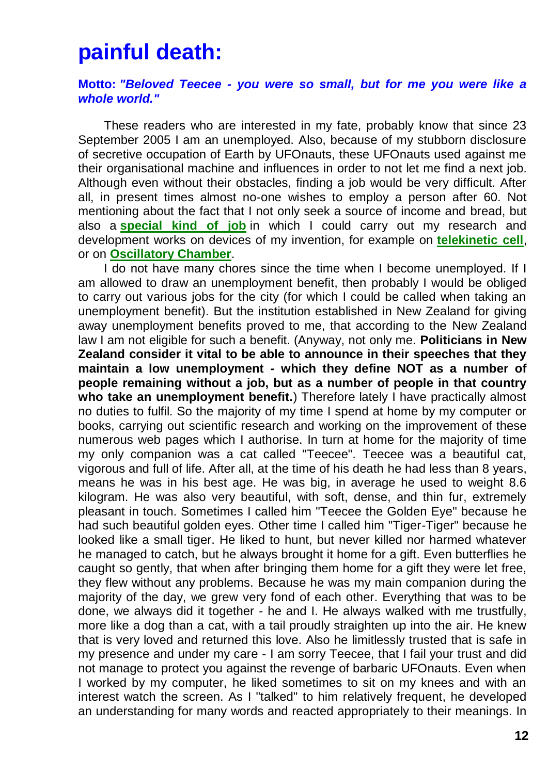#### **painful death:**

#### **Motto:** *"Beloved Teecee - you were so small, but for me you were like a whole world."*

These readers who are interested in my fate, probably know that since 23 September 2005 I am an unemployed. Also, because of my stubborn disclosure of secretive occupation of Earth by UFOnauts, these UFOnauts used against me their organisational machine and influences in order to not let me find a next job. Although even without their obstacles, finding a job would be very difficult. After all, in present times almost no-one wishes to employ a person after 60. Not mentioning about the fact that I not only seek a source of income and bread, but also a **[special kind of job](http://totalizm.com.pl/job.htm)** in which I could carry out my research and development works on devices of my invention, for example on **[telekinetic cell](http://totalizm.com.pl/fe_cell.htm)**, or on **[Oscillatory Chamber](http://totalizm.com.pl/oscillatory_chamber.htm)**.

I do not have many chores since the time when I become unemployed. If I am allowed to draw an unemployment benefit, then probably I would be obliged to carry out various jobs for the city (for which I could be called when taking an unemployment benefit). But the institution established in New Zealand for giving away unemployment benefits proved to me, that according to the New Zealand law I am not eligible for such a benefit. (Anyway, not only me. **Politicians in New Zealand consider it vital to be able to announce in their speeches that they maintain a low unemployment - which they define NOT as a number of people remaining without a job, but as a number of people in that country who take an unemployment benefit.**) Therefore lately I have practically almost no duties to fulfil. So the majority of my time I spend at home by my computer or books, carrying out scientific research and working on the improvement of these numerous web pages which I authorise. In turn at home for the majority of time my only companion was a cat called "Teecee". Teecee was a beautiful cat, vigorous and full of life. After all, at the time of his death he had less than 8 years, means he was in his best age. He was big, in average he used to weight 8.6 kilogram. He was also very beautiful, with soft, dense, and thin fur, extremely pleasant in touch. Sometimes I called him "Teecee the Golden Eye" because he had such beautiful golden eyes. Other time I called him "Tiger-Tiger" because he looked like a small tiger. He liked to hunt, but never killed nor harmed whatever he managed to catch, but he always brought it home for a gift. Even butterflies he caught so gently, that when after bringing them home for a gift they were let free, they flew without any problems. Because he was my main companion during the majority of the day, we grew very fond of each other. Everything that was to be done, we always did it together - he and I. He always walked with me trustfully, more like a dog than a cat, with a tail proudly straighten up into the air. He knew that is very loved and returned this love. Also he limitlessly trusted that is safe in my presence and under my care - I am sorry Teecee, that I fail your trust and did not manage to protect you against the revenge of barbaric UFOnauts. Even when I worked by my computer, he liked sometimes to sit on my knees and with an interest watch the screen. As I "talked" to him relatively frequent, he developed an understanding for many words and reacted appropriately to their meanings. In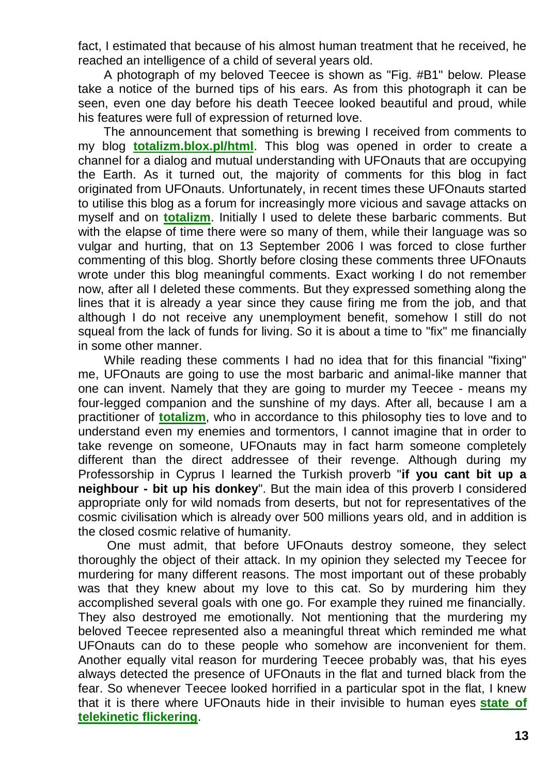fact, I estimated that because of his almost human treatment that he received, he reached an intelligence of a child of several years old.

A photograph of my beloved Teecee is shown as "Fig. #B1" below. Please take a notice of the burned tips of his ears. As from this photograph it can be seen, even one day before his death Teecee looked beautiful and proud, while his features were full of expression of returned love.

The announcement that something is brewing I received from comments to my blog **[totalizm.blox.pl/html](http://totalizm.blox.pl/html/)**. This blog was opened in order to create a channel for a dialog and mutual understanding with UFOnauts that are occupying the Earth. As it turned out, the majority of comments for this blog in fact originated from UFOnauts. Unfortunately, in recent times these UFOnauts started to utilise this blog as a forum for increasingly more vicious and savage attacks on myself and on **[totalizm](http://totalizm.com.pl/totalizm.htm)**. Initially I used to delete these barbaric comments. But with the elapse of time there were so many of them, while their language was so vulgar and hurting, that on 13 September 2006 I was forced to close further commenting of this blog. Shortly before closing these comments three UFOnauts wrote under this blog meaningful comments. Exact working I do not remember now, after all I deleted these comments. But they expressed something along the lines that it is already a year since they cause firing me from the job, and that although I do not receive any unemployment benefit, somehow I still do not squeal from the lack of funds for living. So it is about a time to "fix" me financially in some other manner.

While reading these comments I had no idea that for this financial "fixing" me, UFOnauts are going to use the most barbaric and animal-like manner that one can invent. Namely that they are going to murder my Teecee - means my four-legged companion and the sunshine of my days. After all, because I am a practitioner of **[totalizm](http://totalizm.com.pl/totalizm.htm)**, who in accordance to this philosophy ties to love and to understand even my enemies and tormentors, I cannot imagine that in order to take revenge on someone, UFOnauts may in fact harm someone completely different than the direct addressee of their revenge. Although during my Professorship in Cyprus I learned the Turkish proverb "**if you cant bit up a neighbour - bit up his donkey**". But the main idea of this proverb I considered appropriate only for wild nomads from deserts, but not for representatives of the cosmic civilisation which is already over 500 millions years old, and in addition is the closed cosmic relative of humanity.

One must admit, that before UFOnauts destroy someone, they select thoroughly the object of their attack. In my opinion they selected my Teecee for murdering for many different reasons. The most important out of these probably was that they knew about my love to this cat. So by murdering him they accomplished several goals with one go. For example they ruined me financially. They also destroyed me emotionally. Not mentioning that the murdering my beloved Teecee represented also a meaningful threat which reminded me what UFOnauts can do to these people who somehow are inconvenient for them. Another equally vital reason for murdering Teecee probably was, that his eyes always detected the presence of UFOnauts in the flat and turned black from the fear. So whenever Teecee looked horrified in a particular spot in the flat, I knew that it is there where UFOnauts hide in their invisible to human eyes **[state of](http://totalizm.com.pl/dipolar_gravity.htm)  [telekinetic flickering](http://totalizm.com.pl/dipolar_gravity.htm)**.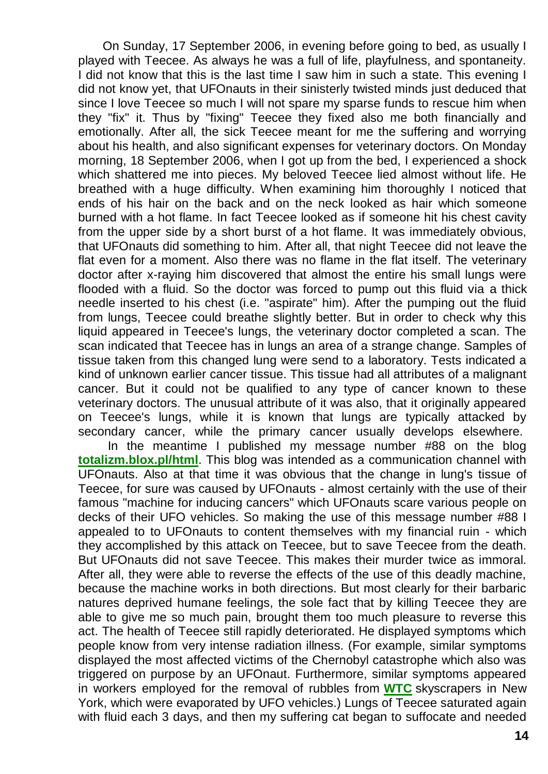On Sunday, 17 September 2006, in evening before going to bed, as usually I played with Teecee. As always he was a full of life, playfulness, and spontaneity. I did not know that this is the last time I saw him in such a state. This evening I did not know yet, that UFOnauts in their sinisterly twisted minds just deduced that since I love Teecee so much I will not spare my sparse funds to rescue him when they "fix" it. Thus by "fixing" Teecee they fixed also me both financially and emotionally. After all, the sick Teecee meant for me the suffering and worrying about his health, and also significant expenses for veterinary doctors. On Monday morning, 18 September 2006, when I got up from the bed, I experienced a shock which shattered me into pieces. My beloved Teecee lied almost without life. He breathed with a huge difficulty. When examining him thoroughly I noticed that ends of his hair on the back and on the neck looked as hair which someone burned with a hot flame. In fact Teecee looked as if someone hit his chest cavity from the upper side by a short burst of a hot flame. It was immediately obvious, that UFOnauts did something to him. After all, that night Teecee did not leave the flat even for a moment. Also there was no flame in the flat itself. The veterinary doctor after x-raying him discovered that almost the entire his small lungs were flooded with a fluid. So the doctor was forced to pump out this fluid via a thick needle inserted to his chest (i.e. "aspirate" him). After the pumping out the fluid from lungs, Teecee could breathe slightly better. But in order to check why this liquid appeared in Teecee's lungs, the veterinary doctor completed a scan. The scan indicated that Teecee has in lungs an area of a strange change. Samples of tissue taken from this changed lung were send to a laboratory. Tests indicated a kind of unknown earlier cancer tissue. This tissue had all attributes of a malignant cancer. But it could not be qualified to any type of cancer known to these veterinary doctors. The unusual attribute of it was also, that it originally appeared on Teecee's lungs, while it is known that lungs are typically attacked by secondary cancer, while the primary cancer usually develops elsewhere.

In the meantime I published my message number #88 on the blog **[totalizm.blox.pl/html](http://totalizm.blox.pl/html/)**. This blog was intended as a communication channel with UFOnauts. Also at that time it was obvious that the change in lung's tissue of Teecee, for sure was caused by UFOnauts - almost certainly with the use of their famous "machine for inducing cancers" which UFOnauts scare various people on decks of their UFO vehicles. So making the use of this message number #88 I appealed to to UFOnauts to content themselves with my financial ruin - which they accomplished by this attack on Teecee, but to save Teecee from the death. But UFOnauts did not save Teecee. This makes their murder twice as immoral. After all, they were able to reverse the effects of the use of this deadly machine, because the machine works in both directions. But most clearly for their barbaric natures deprived humane feelings, the sole fact that by killing Teecee they are able to give me so much pain, brought them too much pleasure to reverse this act. The health of Teecee still rapidly deteriorated. He displayed symptoms which people know from very intense radiation illness. (For example, similar symptoms displayed the most affected victims of the Chernobyl catastrophe which also was triggered on purpose by an UFOnaut. Furthermore, similar symptoms appeared in workers employed for the removal of rubbles from **[WTC](http://totalizm.com.pl/wtc.htm)** skyscrapers in New York, which were evaporated by UFO vehicles.) Lungs of Teecee saturated again with fluid each 3 days, and then my suffering cat began to suffocate and needed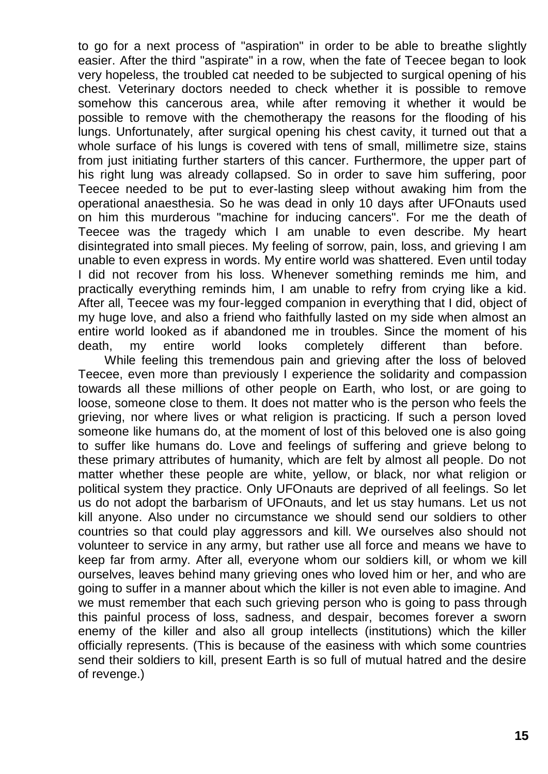to go for a next process of "aspiration" in order to be able to breathe slightly easier. After the third "aspirate" in a row, when the fate of Teecee began to look very hopeless, the troubled cat needed to be subjected to surgical opening of his chest. Veterinary doctors needed to check whether it is possible to remove somehow this cancerous area, while after removing it whether it would be possible to remove with the chemotherapy the reasons for the flooding of his lungs. Unfortunately, after surgical opening his chest cavity, it turned out that a whole surface of his lungs is covered with tens of small, millimetre size, stains from just initiating further starters of this cancer. Furthermore, the upper part of his right lung was already collapsed. So in order to save him suffering, poor Teecee needed to be put to ever-lasting sleep without awaking him from the operational anaesthesia. So he was dead in only 10 days after UFOnauts used on him this murderous "machine for inducing cancers". For me the death of Teecee was the tragedy which I am unable to even describe. My heart disintegrated into small pieces. My feeling of sorrow, pain, loss, and grieving I am unable to even express in words. My entire world was shattered. Even until today I did not recover from his loss. Whenever something reminds me him, and practically everything reminds him, I am unable to refry from crying like a kid. After all, Teecee was my four-legged companion in everything that I did, object of my huge love, and also a friend who faithfully lasted on my side when almost an entire world looked as if abandoned me in troubles. Since the moment of his death, my entire world looks completely different than before.

While feeling this tremendous pain and grieving after the loss of beloved Teecee, even more than previously I experience the solidarity and compassion towards all these millions of other people on Earth, who lost, or are going to loose, someone close to them. It does not matter who is the person who feels the grieving, nor where lives or what religion is practicing. If such a person loved someone like humans do, at the moment of lost of this beloved one is also going to suffer like humans do. Love and feelings of suffering and grieve belong to these primary attributes of humanity, which are felt by almost all people. Do not matter whether these people are white, yellow, or black, nor what religion or political system they practice. Only UFOnauts are deprived of all feelings. So let us do not adopt the barbarism of UFOnauts, and let us stay humans. Let us not kill anyone. Also under no circumstance we should send our soldiers to other countries so that could play aggressors and kill. We ourselves also should not volunteer to service in any army, but rather use all force and means we have to keep far from army. After all, everyone whom our soldiers kill, or whom we kill ourselves, leaves behind many grieving ones who loved him or her, and who are going to suffer in a manner about which the killer is not even able to imagine. And we must remember that each such grieving person who is going to pass through this painful process of loss, sadness, and despair, becomes forever a sworn enemy of the killer and also all group intellects (institutions) which the killer officially represents. (This is because of the easiness with which some countries send their soldiers to kill, present Earth is so full of mutual hatred and the desire of revenge.)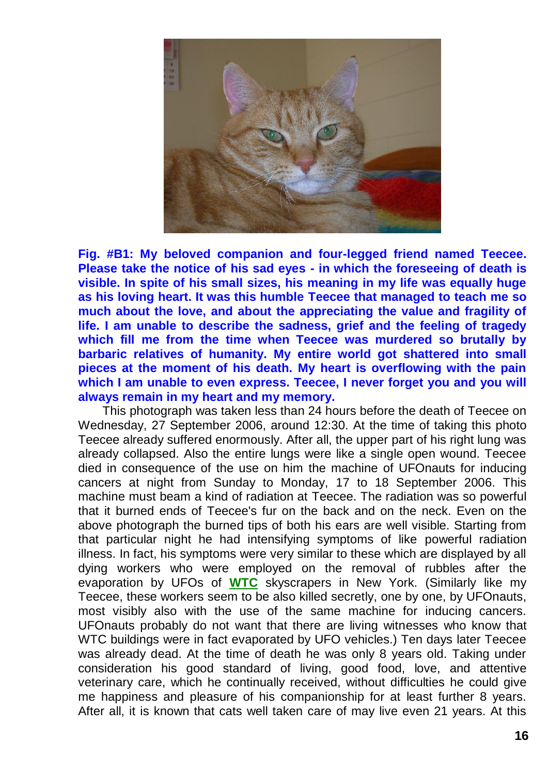

**Fig. #B1: My beloved companion and four-legged friend named Teecee. Please take the notice of his sad eyes - in which the foreseeing of death is visible. In spite of his small sizes, his meaning in my life was equally huge as his loving heart. It was this humble Teecee that managed to teach me so much about the love, and about the appreciating the value and fragility of life. I am unable to describe the sadness, grief and the feeling of tragedy which fill me from the time when Teecee was murdered so brutally by barbaric relatives of humanity. My entire world got shattered into small pieces at the moment of his death. My heart is overflowing with the pain which I am unable to even express. Teecee, I never forget you and you will always remain in my heart and my memory.**

This photograph was taken less than 24 hours before the death of Teecee on Wednesday, 27 September 2006, around 12:30. At the time of taking this photo Teecee already suffered enormously. After all, the upper part of his right lung was already collapsed. Also the entire lungs were like a single open wound. Teecee died in consequence of the use on him the machine of UFOnauts for inducing cancers at night from Sunday to Monday, 17 to 18 September 2006. This machine must beam a kind of radiation at Teecee. The radiation was so powerful that it burned ends of Teecee's fur on the back and on the neck. Even on the above photograph the burned tips of both his ears are well visible. Starting from that particular night he had intensifying symptoms of like powerful radiation illness. In fact, his symptoms were very similar to these which are displayed by all dying workers who were employed on the removal of rubbles after the evaporation by UFOs of **[WTC](http://totalizm.com.pl/wtc.htm)** skyscrapers in New York. (Similarly like my Teecee, these workers seem to be also killed secretly, one by one, by UFOnauts, most visibly also with the use of the same machine for inducing cancers. UFOnauts probably do not want that there are living witnesses who know that WTC buildings were in fact evaporated by UFO vehicles.) Ten days later Teecee was already dead. At the time of death he was only 8 years old. Taking under consideration his good standard of living, good food, love, and attentive veterinary care, which he continually received, without difficulties he could give me happiness and pleasure of his companionship for at least further 8 years. After all, it is known that cats well taken care of may live even 21 years. At this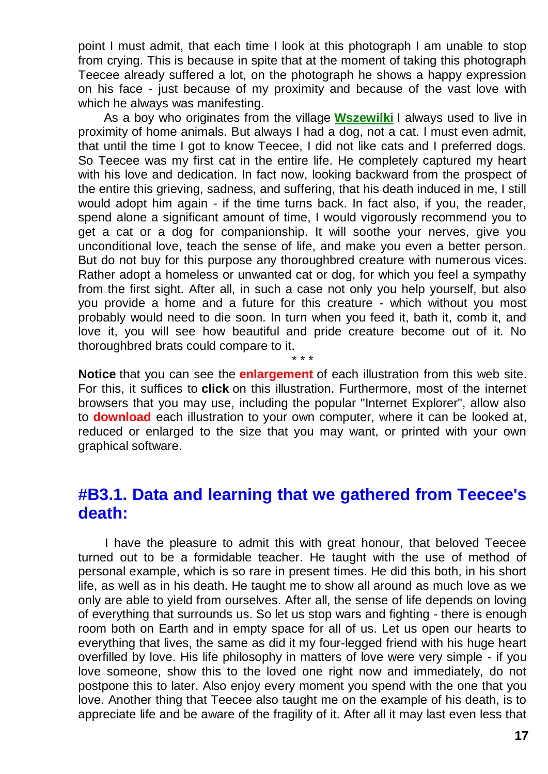point I must admit, that each time I look at this photograph I am unable to stop from crying. This is because in spite that at the moment of taking this photograph Teecee already suffered a lot, on the photograph he shows a happy expression on his face - just because of my proximity and because of the vast love with which he always was manifesting.

As a boy who originates from the village **[Wszewilki](http://totalizm.com.pl/wszewilki_uk.htm)** I always used to live in proximity of home animals. But always I had a dog, not a cat. I must even admit, that until the time I got to know Teecee, I did not like cats and I preferred dogs. So Teecee was my first cat in the entire life. He completely captured my heart with his love and dedication. In fact now, looking backward from the prospect of the entire this grieving, sadness, and suffering, that his death induced in me, I still would adopt him again - if the time turns back. In fact also, if you, the reader, spend alone a significant amount of time, I would vigorously recommend you to get a cat or a dog for companionship. It will soothe your nerves, give you unconditional love, teach the sense of life, and make you even a better person. But do not buy for this purpose any thoroughbred creature with numerous vices. Rather adopt a homeless or unwanted cat or dog, for which you feel a sympathy from the first sight. After all, in such a case not only you help yourself, but also you provide a home and a future for this creature - which without you most probably would need to die soon. In turn when you feed it, bath it, comb it, and love it, you will see how beautiful and pride creature become out of it. No thoroughbred brats could compare to it.

**Notice** that you can see the **enlargement** of each illustration from this web site. For this, it suffices to **click** on this illustration. Furthermore, most of the internet browsers that you may use, including the popular "Internet Explorer", allow also to **download** each illustration to your own computer, where it can be looked at, reduced or enlarged to the size that you may want, or printed with your own graphical software.

\* \* \*

#### **#B3.1. Data and learning that we gathered from Teecee's death:**

I have the pleasure to admit this with great honour, that beloved Teecee turned out to be a formidable teacher. He taught with the use of method of personal example, which is so rare in present times. He did this both, in his short life, as well as in his death. He taught me to show all around as much love as we only are able to yield from ourselves. After all, the sense of life depends on loving of everything that surrounds us. So let us stop wars and fighting - there is enough room both on Earth and in empty space for all of us. Let us open our hearts to everything that lives, the same as did it my four-legged friend with his huge heart overfilled by love. His life philosophy in matters of love were very simple - if you love someone, show this to the loved one right now and immediately, do not postpone this to later. Also enjoy every moment you spend with the one that you love. Another thing that Teecee also taught me on the example of his death, is to appreciate life and be aware of the fragility of it. After all it may last even less that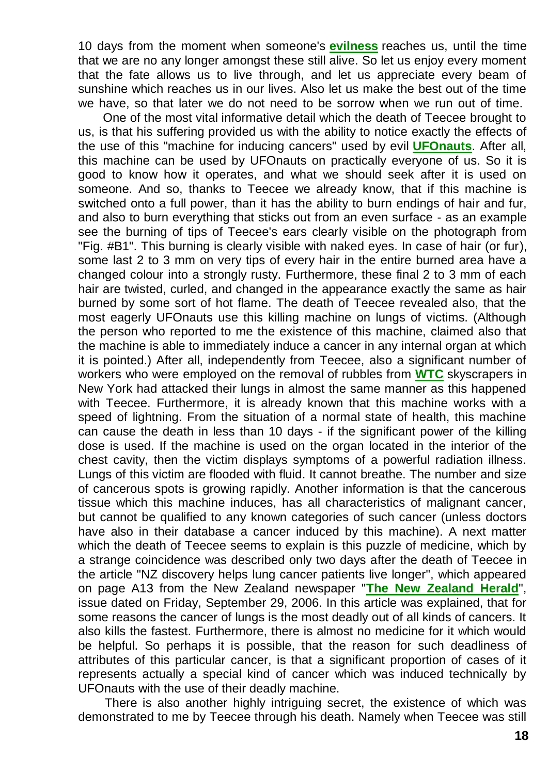10 days from the moment when someone's **[evilness](http://totalizm.com.pl/evil.htm)** reaches us, until the time that we are no any longer amongst these still alive. So let us enjoy every moment that the fate allows us to live through, and let us appreciate every beam of sunshine which reaches us in our lives. Also let us make the best out of the time we have, so that later we do not need to be sorrow when we run out of time.

One of the most vital informative detail which the death of Teecee brought to us, is that his suffering provided us with the ability to notice exactly the effects of the use of this "machine for inducing cancers" used by evil **[UFOnauts](http://totalizm.com.pl/ufo.htm)**. After all, this machine can be used by UFOnauts on practically everyone of us. So it is good to know how it operates, and what we should seek after it is used on someone. And so, thanks to Teecee we already know, that if this machine is switched onto a full power, than it has the ability to burn endings of hair and fur, and also to burn everything that sticks out from an even surface - as an example see the burning of tips of Teecee's ears clearly visible on the photograph from "Fig. #B1". This burning is clearly visible with naked eyes. In case of hair (or fur), some last 2 to 3 mm on very tips of every hair in the entire burned area have a changed colour into a strongly rusty. Furthermore, these final 2 to 3 mm of each hair are twisted, curled, and changed in the appearance exactly the same as hair burned by some sort of hot flame. The death of Teecee revealed also, that the most eagerly UFOnauts use this killing machine on lungs of victims. (Although the person who reported to me the existence of this machine, claimed also that the machine is able to immediately induce a cancer in any internal organ at which it is pointed.) After all, independently from Teecee, also a significant number of workers who were employed on the removal of rubbles from **[WTC](http://totalizm.com.pl/wtc.htm)** skyscrapers in New York had attacked their lungs in almost the same manner as this happened with Teecee. Furthermore, it is already known that this machine works with a speed of lightning. From the situation of a normal state of health, this machine can cause the death in less than 10 days - if the significant power of the killing dose is used. If the machine is used on the organ located in the interior of the chest cavity, then the victim displays symptoms of a powerful radiation illness. Lungs of this victim are flooded with fluid. It cannot breathe. The number and size of cancerous spots is growing rapidly. Another information is that the cancerous tissue which this machine induces, has all characteristics of malignant cancer, but cannot be qualified to any known categories of such cancer (unless doctors have also in their database a cancer induced by this machine). A next matter which the death of Teecee seems to explain is this puzzle of medicine, which by a strange coincidence was described only two days after the death of Teecee in the article "NZ discovery helps lung cancer patients live longer", which appeared on page A13 from the New Zealand newspaper "**[The New Zealand Herald](http://www.nzherald.co.nz/)**", issue dated on Friday, September 29, 2006. In this article was explained, that for some reasons the cancer of lungs is the most deadly out of all kinds of cancers. It also kills the fastest. Furthermore, there is almost no medicine for it which would be helpful. So perhaps it is possible, that the reason for such deadliness of attributes of this particular cancer, is that a significant proportion of cases of it represents actually a special kind of cancer which was induced technically by UFOnauts with the use of their deadly machine.

There is also another highly intriguing secret, the existence of which was demonstrated to me by Teecee through his death. Namely when Teecee was still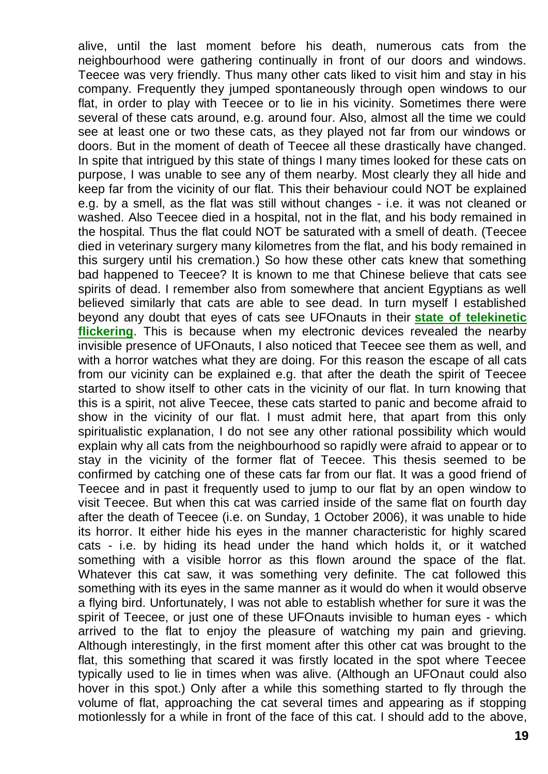alive, until the last moment before his death, numerous cats from the neighbourhood were gathering continually in front of our doors and windows. Teecee was very friendly. Thus many other cats liked to visit him and stay in his company. Frequently they jumped spontaneously through open windows to our flat, in order to play with Teecee or to lie in his vicinity. Sometimes there were several of these cats around, e.g. around four. Also, almost all the time we could see at least one or two these cats, as they played not far from our windows or doors. But in the moment of death of Teecee all these drastically have changed. In spite that intrigued by this state of things I many times looked for these cats on purpose, I was unable to see any of them nearby. Most clearly they all hide and keep far from the vicinity of our flat. This their behaviour could NOT be explained e.g. by a smell, as the flat was still without changes - i.e. it was not cleaned or washed. Also Teecee died in a hospital, not in the flat, and his body remained in the hospital. Thus the flat could NOT be saturated with a smell of death. (Teecee died in veterinary surgery many kilometres from the flat, and his body remained in this surgery until his cremation.) So how these other cats knew that something bad happened to Teecee? It is known to me that Chinese believe that cats see spirits of dead. I remember also from somewhere that ancient Egyptians as well believed similarly that cats are able to see dead. In turn myself I established beyond any doubt that eyes of cats see UFOnauts in their **[state of telekinetic](http://totalizm.com.pl/dipolar_gravity.htm)  [flickering](http://totalizm.com.pl/dipolar_gravity.htm)**. This is because when my electronic devices revealed the nearby invisible presence of UFOnauts, I also noticed that Teecee see them as well, and with a horror watches what they are doing. For this reason the escape of all cats from our vicinity can be explained e.g. that after the death the spirit of Teecee started to show itself to other cats in the vicinity of our flat. In turn knowing that this is a spirit, not alive Teecee, these cats started to panic and become afraid to show in the vicinity of our flat. I must admit here, that apart from this only spiritualistic explanation, I do not see any other rational possibility which would explain why all cats from the neighbourhood so rapidly were afraid to appear or to stay in the vicinity of the former flat of Teecee. This thesis seemed to be confirmed by catching one of these cats far from our flat. It was a good friend of Teecee and in past it frequently used to jump to our flat by an open window to visit Teecee. But when this cat was carried inside of the same flat on fourth day after the death of Teecee (i.e. on Sunday, 1 October 2006), it was unable to hide its horror. It either hide his eyes in the manner characteristic for highly scared cats - i.e. by hiding its head under the hand which holds it, or it watched something with a visible horror as this flown around the space of the flat. Whatever this cat saw, it was something very definite. The cat followed this something with its eyes in the same manner as it would do when it would observe a flying bird. Unfortunately, I was not able to establish whether for sure it was the spirit of Teecee, or just one of these UFOnauts invisible to human eyes - which arrived to the flat to enjoy the pleasure of watching my pain and grieving. Although interestingly, in the first moment after this other cat was brought to the flat, this something that scared it was firstly located in the spot where Teecee typically used to lie in times when was alive. (Although an UFOnaut could also hover in this spot.) Only after a while this something started to fly through the volume of flat, approaching the cat several times and appearing as if stopping motionlessly for a while in front of the face of this cat. I should add to the above,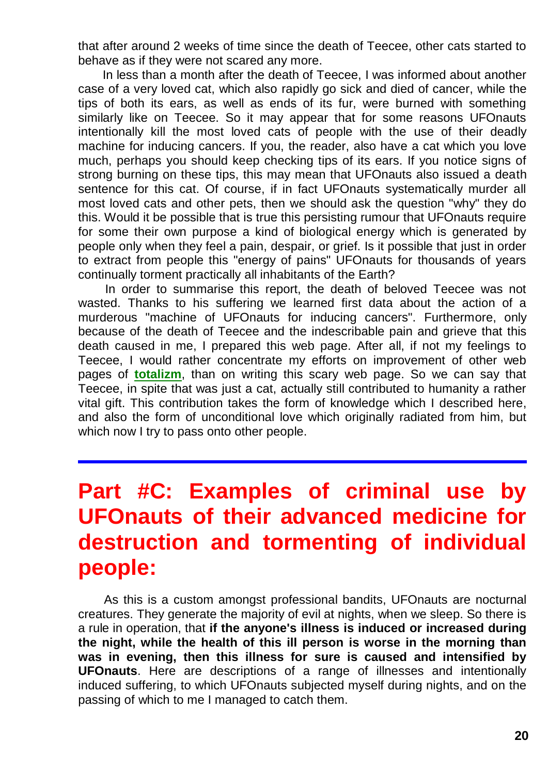that after around 2 weeks of time since the death of Teecee, other cats started to behave as if they were not scared any more.

In less than a month after the death of Teecee, I was informed about another case of a very loved cat, which also rapidly go sick and died of cancer, while the tips of both its ears, as well as ends of its fur, were burned with something similarly like on Teecee. So it may appear that for some reasons UFOnauts intentionally kill the most loved cats of people with the use of their deadly machine for inducing cancers. If you, the reader, also have a cat which you love much, perhaps you should keep checking tips of its ears. If you notice signs of strong burning on these tips, this may mean that UFOnauts also issued a death sentence for this cat. Of course, if in fact UFOnauts systematically murder all most loved cats and other pets, then we should ask the question "why" they do this. Would it be possible that is true this persisting rumour that UFOnauts require for some their own purpose a kind of biological energy which is generated by people only when they feel a pain, despair, or grief. Is it possible that just in order to extract from people this "energy of pains" UFOnauts for thousands of years continually torment practically all inhabitants of the Earth?

In order to summarise this report, the death of beloved Teecee was not wasted. Thanks to his suffering we learned first data about the action of a murderous "machine of UFOnauts for inducing cancers". Furthermore, only because of the death of Teecee and the indescribable pain and grieve that this death caused in me, I prepared this web page. After all, if not my feelings to Teecee, I would rather concentrate my efforts on improvement of other web pages of **[totalizm](http://totalizm.com.pl/totalizm.htm)**, than on writing this scary web page. So we can say that Teecee, in spite that was just a cat, actually still contributed to humanity a rather vital gift. This contribution takes the form of knowledge which I described here, and also the form of unconditional love which originally radiated from him, but which now I try to pass onto other people.

# **Part #C: Examples of criminal use by UFOnauts of their advanced medicine for destruction and tormenting of individual people:**

As this is a custom amongst professional bandits, UFOnauts are nocturnal creatures. They generate the majority of evil at nights, when we sleep. So there is a rule in operation, that **if the anyone's illness is induced or increased during the night, while the health of this ill person is worse in the morning than was in evening, then this illness for sure is caused and intensified by UFOnauts**. Here are descriptions of a range of illnesses and intentionally induced suffering, to which UFOnauts subjected myself during nights, and on the passing of which to me I managed to catch them.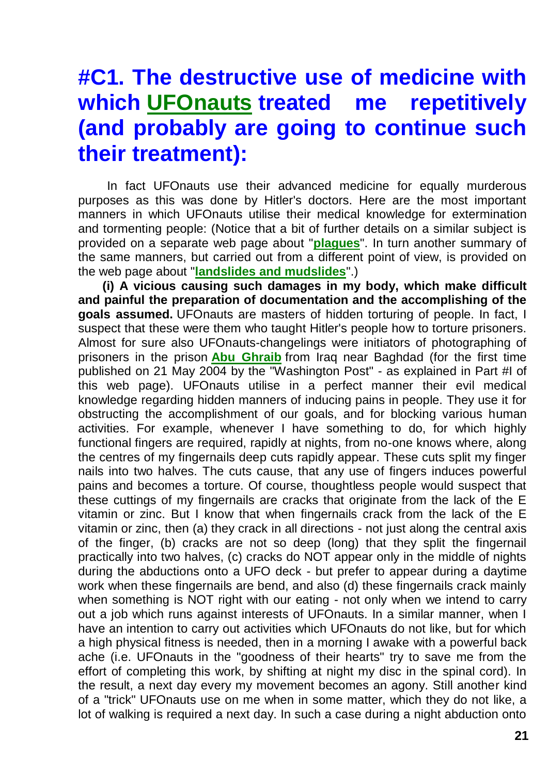# **#C1. The destructive use of medicine with which [UFOnauts](http://totalizm.com.pl/ufo.htm) treated me repetitively (and probably are going to continue such their treatment):**

In fact UFOnauts use their advanced medicine for equally murderous purposes as this was done by Hitler's doctors. Here are the most important manners in which UFOnauts utilise their medical knowledge for extermination and tormenting people: (Notice that a bit of further details on a similar subject is provided on a separate web page about "**[plagues](http://totalizm.com.pl/plague.htm)**". In turn another summary of the same manners, but carried out from a different point of view, is provided on the web page about "**[landslides and mudslides](http://totalizm.com.pl/landslips.htm)**".)

**(i) A vicious causing such damages in my body, which make difficult and painful the preparation of documentation and the accomplishing of the goals assumed.** UFOnauts are masters of hidden torturing of people. In fact, I suspect that these were them who taught Hitler's people how to torture prisoners. Almost for sure also UFOnauts-changelings were initiators of photographing of prisoners in the prison **[Abu Ghraib](http://totalizm.com.pl/changelings.htm)** from Iraq near Baghdad (for the first time published on 21 May 2004 by the "Washington Post" - as explained in Part #I of this web page). UFOnauts utilise in a perfect manner their evil medical knowledge regarding hidden manners of inducing pains in people. They use it for obstructing the accomplishment of our goals, and for blocking various human activities. For example, whenever I have something to do, for which highly functional fingers are required, rapidly at nights, from no-one knows where, along the centres of my fingernails deep cuts rapidly appear. These cuts split my finger nails into two halves. The cuts cause, that any use of fingers induces powerful pains and becomes a torture. Of course, thoughtless people would suspect that these cuttings of my fingernails are cracks that originate from the lack of the E vitamin or zinc. But I know that when fingernails crack from the lack of the E vitamin or zinc, then (a) they crack in all directions - not just along the central axis of the finger, (b) cracks are not so deep (long) that they split the fingernail practically into two halves, (c) cracks do NOT appear only in the middle of nights during the abductions onto a UFO deck - but prefer to appear during a daytime work when these fingernails are bend, and also (d) these fingernails crack mainly when something is NOT right with our eating - not only when we intend to carry out a job which runs against interests of UFOnauts. In a similar manner, when I have an intention to carry out activities which UFOnauts do not like, but for which a high physical fitness is needed, then in a morning I awake with a powerful back ache (i.e. UFOnauts in the "goodness of their hearts" try to save me from the effort of completing this work, by shifting at night my disc in the spinal cord). In the result, a next day every my movement becomes an agony. Still another kind of a "trick" UFOnauts use on me when in some matter, which they do not like, a lot of walking is required a next day. In such a case during a night abduction onto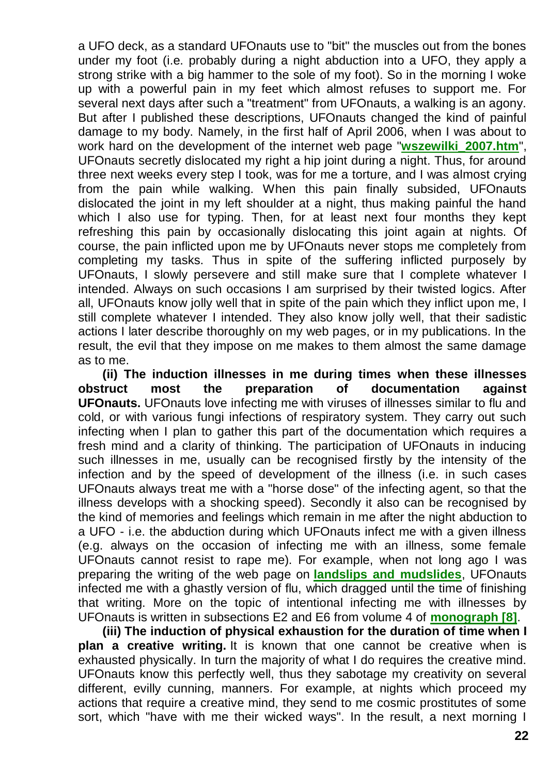a UFO deck, as a standard UFOnauts use to "bit" the muscles out from the bones under my foot (i.e. probably during a night abduction into a UFO, they apply a strong strike with a big hammer to the sole of my foot). So in the morning I woke up with a powerful pain in my feet which almost refuses to support me. For several next days after such a "treatment" from UFOnauts, a walking is an agony. But after I published these descriptions, UFOnauts changed the kind of painful damage to my body. Namely, in the first half of April 2006, when I was about to work hard on the development of the internet web page "**[wszewilki\\_2007.htm](http://totalizm.com.pl/wszewilki_2007.htm)**", UFOnauts secretly dislocated my right a hip joint during a night. Thus, for around three next weeks every step I took, was for me a torture, and I was almost crying from the pain while walking. When this pain finally subsided, UFOnauts dislocated the joint in my left shoulder at a night, thus making painful the hand which I also use for typing. Then, for at least next four months they kept refreshing this pain by occasionally dislocating this joint again at nights. Of course, the pain inflicted upon me by UFOnauts never stops me completely from completing my tasks. Thus in spite of the suffering inflicted purposely by UFOnauts, I slowly persevere and still make sure that I complete whatever I intended. Always on such occasions I am surprised by their twisted logics. After all, UFOnauts know jolly well that in spite of the pain which they inflict upon me, I still complete whatever I intended. They also know jolly well, that their sadistic actions I later describe thoroughly on my web pages, or in my publications. In the result, the evil that they impose on me makes to them almost the same damage as to me.

**(ii) The induction illnesses in me during times when these illnesses obstruct most the preparation of documentation against UFOnauts.** UFOnauts love infecting me with viruses of illnesses similar to flu and cold, or with various fungi infections of respiratory system. They carry out such infecting when I plan to gather this part of the documentation which requires a fresh mind and a clarity of thinking. The participation of UFOnauts in inducing such illnesses in me, usually can be recognised firstly by the intensity of the infection and by the speed of development of the illness (i.e. in such cases UFOnauts always treat me with a "horse dose" of the infecting agent, so that the illness develops with a shocking speed). Secondly it also can be recognised by the kind of memories and feelings which remain in me after the night abduction to a UFO - i.e. the abduction during which UFOnauts infect me with a given illness (e.g. always on the occasion of infecting me with an illness, some female UFOnauts cannot resist to rape me). For example, when not long ago I was preparing the writing of the web page on **[landslips and mudslides](http://totalizm.com.pl/landslips.htm)**, UFOnauts infected me with a ghastly version of flu, which dragged until the time of finishing that writing. More on the topic of intentional infecting me with illnesses by UFOnauts is written in subsections E2 and E6 from volume 4 of **[monograph \[8\]](http://totalizm.com.pl/text_8.htm)**.

**(iii) The induction of physical exhaustion for the duration of time when I plan a creative writing.** It is known that one cannot be creative when is exhausted physically. In turn the majority of what I do requires the creative mind. UFOnauts know this perfectly well, thus they sabotage my creativity on several different, evilly cunning, manners. For example, at nights which proceed my actions that require a creative mind, they send to me cosmic prostitutes of some sort, which "have with me their wicked ways". In the result, a next morning I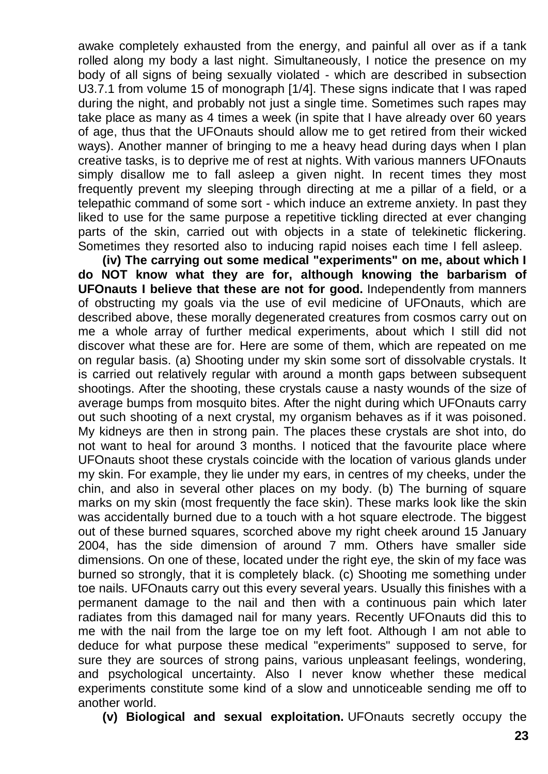awake completely exhausted from the energy, and painful all over as if a tank rolled along my body a last night. Simultaneously, I notice the presence on my body of all signs of being sexually violated - which are described in subsection U3.7.1 from volume 15 of monograph [1/4]. These signs indicate that I was raped during the night, and probably not just a single time. Sometimes such rapes may take place as many as 4 times a week (in spite that I have already over 60 years of age, thus that the UFOnauts should allow me to get retired from their wicked ways). Another manner of bringing to me a heavy head during days when I plan creative tasks, is to deprive me of rest at nights. With various manners UFOnauts simply disallow me to fall asleep a given night. In recent times they most frequently prevent my sleeping through directing at me a pillar of a field, or a telepathic command of some sort - which induce an extreme anxiety. In past they liked to use for the same purpose a repetitive tickling directed at ever changing parts of the skin, carried out with objects in a state of telekinetic flickering. Sometimes they resorted also to inducing rapid noises each time I fell asleep.

**(iv) The carrying out some medical "experiments" on me, about which I do NOT know what they are for, although knowing the barbarism of UFOnauts I believe that these are not for good.** Independently from manners of obstructing my goals via the use of evil medicine of UFOnauts, which are described above, these morally degenerated creatures from cosmos carry out on me a whole array of further medical experiments, about which I still did not discover what these are for. Here are some of them, which are repeated on me on regular basis. (a) Shooting under my skin some sort of dissolvable crystals. It is carried out relatively regular with around a month gaps between subsequent shootings. After the shooting, these crystals cause a nasty wounds of the size of average bumps from mosquito bites. After the night during which UFOnauts carry out such shooting of a next crystal, my organism behaves as if it was poisoned. My kidneys are then in strong pain. The places these crystals are shot into, do not want to heal for around 3 months. I noticed that the favourite place where UFOnauts shoot these crystals coincide with the location of various glands under my skin. For example, they lie under my ears, in centres of my cheeks, under the chin, and also in several other places on my body. (b) The burning of square marks on my skin (most frequently the face skin). These marks look like the skin was accidentally burned due to a touch with a hot square electrode. The biggest out of these burned squares, scorched above my right cheek around 15 January 2004, has the side dimension of around 7 mm. Others have smaller side dimensions. On one of these, located under the right eye, the skin of my face was burned so strongly, that it is completely black. (c) Shooting me something under toe nails. UFOnauts carry out this every several years. Usually this finishes with a permanent damage to the nail and then with a continuous pain which later radiates from this damaged nail for many years. Recently UFOnauts did this to me with the nail from the large toe on my left foot. Although I am not able to deduce for what purpose these medical "experiments" supposed to serve, for sure they are sources of strong pains, various unpleasant feelings, wondering, and psychological uncertainty. Also I never know whether these medical experiments constitute some kind of a slow and unnoticeable sending me off to another world.

**(v) Biological and sexual exploitation.** UFOnauts secretly occupy the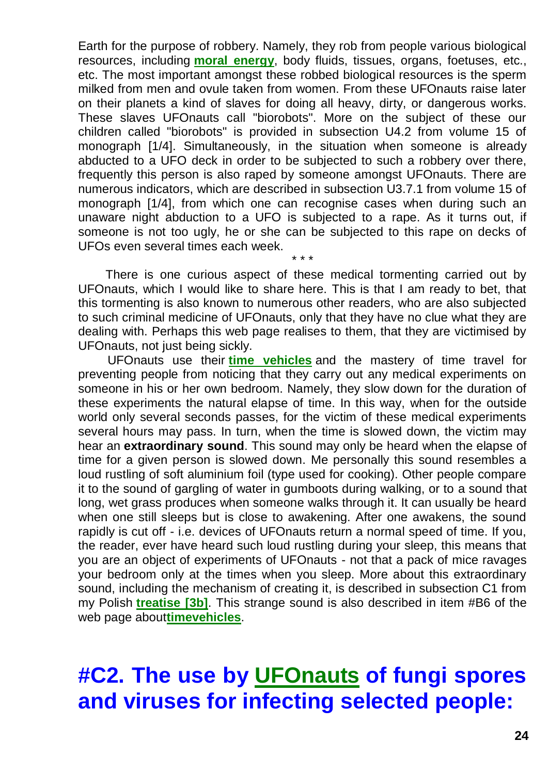Earth for the purpose of robbery. Namely, they rob from people various biological resources, including **[moral energy](http://totalizm.com.pl/totalizm.htm)**, body fluids, tissues, organs, foetuses, etc., etc. The most important amongst these robbed biological resources is the sperm milked from men and ovule taken from women. From these UFOnauts raise later on their planets a kind of slaves for doing all heavy, dirty, or dangerous works. These slaves UFOnauts call "biorobots". More on the subject of these our children called "biorobots" is provided in subsection U4.2 from volume 15 of monograph [1/4]. Simultaneously, in the situation when someone is already abducted to a UFO deck in order to be subjected to such a robbery over there, frequently this person is also raped by someone amongst UFOnauts. There are numerous indicators, which are described in subsection U3.7.1 from volume 15 of monograph [1/4], from which one can recognise cases when during such an unaware night abduction to a UFO is subjected to a rape. As it turns out, if someone is not too ugly, he or she can be subjected to this rape on decks of UFOs even several times each week.

There is one curious aspect of these medical tormenting carried out by UFOnauts, which I would like to share here. This is that I am ready to bet, that this tormenting is also known to numerous other readers, who are also subjected to such criminal medicine of UFOnauts, only that they have no clue what they are dealing with. Perhaps this web page realises to them, that they are victimised by UFOnauts, not just being sickly.

\* \* \*

UFOnauts use their **[time vehicles](http://totalizm.com.pl/timevehicle.htm)** and the mastery of time travel for preventing people from noticing that they carry out any medical experiments on someone in his or her own bedroom. Namely, they slow down for the duration of these experiments the natural elapse of time. In this way, when for the outside world only several seconds passes, for the victim of these medical experiments several hours may pass. In turn, when the time is slowed down, the victim may hear an **extraordinary sound**. This sound may only be heard when the elapse of time for a given person is slowed down. Me personally this sound resembles a loud rustling of soft aluminium foil (type used for cooking). Other people compare it to the sound of gargling of water in gumboots during walking, or to a sound that long, wet grass produces when someone walks through it. It can usually be heard when one still sleeps but is close to awakening. After one awakens, the sound rapidly is cut off - i.e. devices of UFOnauts return a normal speed of time. If you, the reader, ever have heard such loud rustling during your sleep, this means that you are an object of experiments of UFOnauts - not that a pack of mice ravages your bedroom only at the times when you sleep. More about this extraordinary sound, including the mechanism of creating it, is described in subsection C1 from my Polish **[treatise \[3b\]](http://totalizm.com.pl/tekst_3b.htm)**. This strange sound is also described in item #B6 of the web page about**[timevehicles](http://totalizm.com.pl/timevehicle.htm)**.

# **#C2. The use by [UFOnauts](http://totalizm.com.pl/ufo.htm) of fungi spores and viruses for infecting selected people:**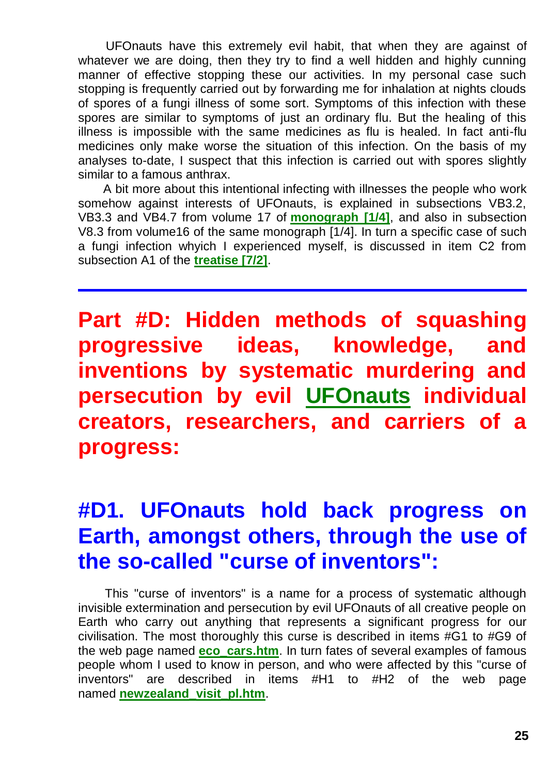UFOnauts have this extremely evil habit, that when they are against of whatever we are doing, then they try to find a well hidden and highly cunning manner of effective stopping these our activities. In my personal case such stopping is frequently carried out by forwarding me for inhalation at nights clouds of spores of a fungi illness of some sort. Symptoms of this infection with these spores are similar to symptoms of just an ordinary flu. But the healing of this illness is impossible with the same medicines as flu is healed. In fact anti-flu medicines only make worse the situation of this infection. On the basis of my analyses to-date, I suspect that this infection is carried out with spores slightly similar to a famous anthrax.

A bit more about this intentional infecting with illnesses the people who work somehow against interests of UFOnauts, is explained in subsections VB3.2, VB3.3 and VB4.7 from volume 17 of **[monograph \[1/4\]](http://totalizm.com.pl/tekst_1_4.htm)**, and also in subsection V8.3 from volume16 of the same monograph [1/4]. In turn a specific case of such a fungi infection whyich I experienced myself, is discussed in item C2 from subsection A1 of the **[treatise \[7/2\]](http://totalizm.com.pl/text_7_2.htm)**.

**Part #D: Hidden methods of squashing progressive ideas, knowledge, and inventions by systematic murdering and persecution by evil [UFOnauts](http://totalizm.com.pl/ufo.htm) individual creators, researchers, and carriers of a progress:**

# **#D1. UFOnauts hold back progress on Earth, amongst others, through the use of the so-called "curse of inventors":**

This "curse of inventors" is a name for a process of systematic although invisible extermination and persecution by evil UFOnauts of all creative people on Earth who carry out anything that represents a significant progress for our civilisation. The most thoroughly this curse is described in items #G1 to #G9 of the web page named **[eco\\_cars.htm](http://totalizm.com.pl/eco_cars.htm)**. In turn fates of several examples of famous people whom I used to know in person, and who were affected by this "curse of inventors" are described in items #H1 to #H2 of the web page named **[newzealand\\_visit\\_pl.htm](http://totalizm.com.pl/newzealand_visit_pl.htm)**.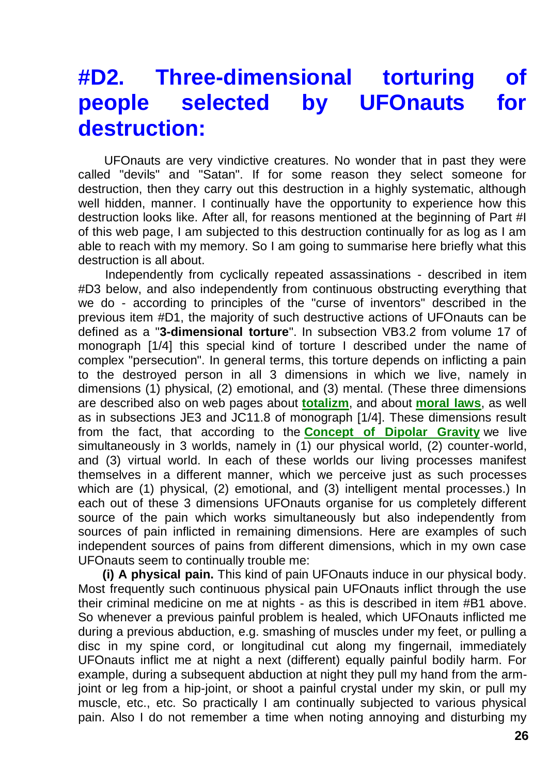#### **#D2. Three-dimensional torturing of people selected by UFOnauts for destruction:**

UFOnauts are very vindictive creatures. No wonder that in past they were called "devils" and "Satan". If for some reason they select someone for destruction, then they carry out this destruction in a highly systematic, although well hidden, manner. I continually have the opportunity to experience how this destruction looks like. After all, for reasons mentioned at the beginning of Part #I of this web page, I am subjected to this destruction continually for as log as I am able to reach with my memory. So I am going to summarise here briefly what this destruction is all about.

Independently from cyclically repeated assassinations - described in item #D3 below, and also independently from continuous obstructing everything that we do - according to principles of the "curse of inventors" described in the previous item #D1, the majority of such destructive actions of UFOnauts can be defined as a "**3-dimensional torture**". In subsection VB3.2 from volume 17 of monograph [1/4] this special kind of torture I described under the name of complex "persecution". In general terms, this torture depends on inflicting a pain to the destroyed person in all 3 dimensions in which we live, namely in dimensions (1) physical, (2) emotional, and (3) mental. (These three dimensions are described also on web pages about **[totalizm](http://totalizm.com.pl/totalizm.htm)**, and about **[moral laws](http://totalizm.com.pl/morals.htm)**, as well as in subsections JE3 and JC11.8 of monograph [1/4]. These dimensions result from the fact, that according to the **Concept of [Dipolar Gravity](http://totalizm.com.pl/dipolar_gravity.htm)** we live simultaneously in 3 worlds, namely in (1) our physical world, (2) counter-world, and (3) virtual world. In each of these worlds our living processes manifest themselves in a different manner, which we perceive just as such processes which are (1) physical, (2) emotional, and (3) intelligent mental processes.) In each out of these 3 dimensions UFOnauts organise for us completely different source of the pain which works simultaneously but also independently from sources of pain inflicted in remaining dimensions. Here are examples of such independent sources of pains from different dimensions, which in my own case UFOnauts seem to continually trouble me:

**(i) A physical pain.** This kind of pain UFOnauts induce in our physical body. Most frequently such continuous physical pain UFOnauts inflict through the use their criminal medicine on me at nights - as this is described in item #B1 above. So whenever a previous painful problem is healed, which UFOnauts inflicted me during a previous abduction, e.g. smashing of muscles under my feet, or pulling a disc in my spine cord, or longitudinal cut along my fingernail, immediately UFOnauts inflict me at night a next (different) equally painful bodily harm. For example, during a subsequent abduction at night they pull my hand from the armjoint or leg from a hip-joint, or shoot a painful crystal under my skin, or pull my muscle, etc., etc. So practically I am continually subjected to various physical pain. Also I do not remember a time when noting annoying and disturbing my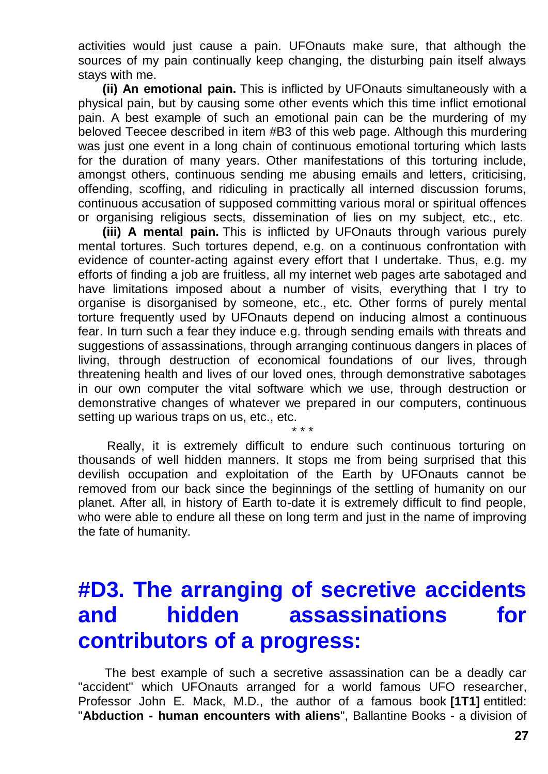activities would just cause a pain. UFOnauts make sure, that although the sources of my pain continually keep changing, the disturbing pain itself always stays with me.

**(ii) An emotional pain.** This is inflicted by UFOnauts simultaneously with a physical pain, but by causing some other events which this time inflict emotional pain. A best example of such an emotional pain can be the murdering of my beloved Teecee described in item #B3 of this web page. Although this murdering was just one event in a long chain of continuous emotional torturing which lasts for the duration of many years. Other manifestations of this torturing include, amongst others, continuous sending me abusing emails and letters, criticising, offending, scoffing, and ridiculing in practically all interned discussion forums, continuous accusation of supposed committing various moral or spiritual offences or organising religious sects, dissemination of lies on my subject, etc., etc.

**(iii) A mental pain.** This is inflicted by UFOnauts through various purely mental tortures. Such tortures depend, e.g. on a continuous confrontation with evidence of counter-acting against every effort that I undertake. Thus, e.g. my efforts of finding a job are fruitless, all my internet web pages arte sabotaged and have limitations imposed about a number of visits, everything that I try to organise is disorganised by someone, etc., etc. Other forms of purely mental torture frequently used by UFOnauts depend on inducing almost a continuous fear. In turn such a fear they induce e.g. through sending emails with threats and suggestions of assassinations, through arranging continuous dangers in places of living, through destruction of economical foundations of our lives, through threatening health and lives of our loved ones, through demonstrative sabotages in our own computer the vital software which we use, through destruction or demonstrative changes of whatever we prepared in our computers, continuous setting up warious traps on us, etc., etc. \* \* \*

Really, it is extremely difficult to endure such continuous torturing on thousands of well hidden manners. It stops me from being surprised that this devilish occupation and exploitation of the Earth by UFOnauts cannot be removed from our back since the beginnings of the settling of humanity on our planet. After all, in history of Earth to-date it is extremely difficult to find people, who were able to endure all these on long term and just in the name of improving the fate of humanity.

### **#D3. The arranging of secretive accidents and hidden assassinations for contributors of a progress:**

The best example of such a secretive assassination can be a deadly car "accident" which UFOnauts arranged for a world famous UFO researcher, Professor John E. Mack, M.D., the author of a famous book **[1T1]** entitled: "**Abduction - human encounters with aliens**", Ballantine Books - a division of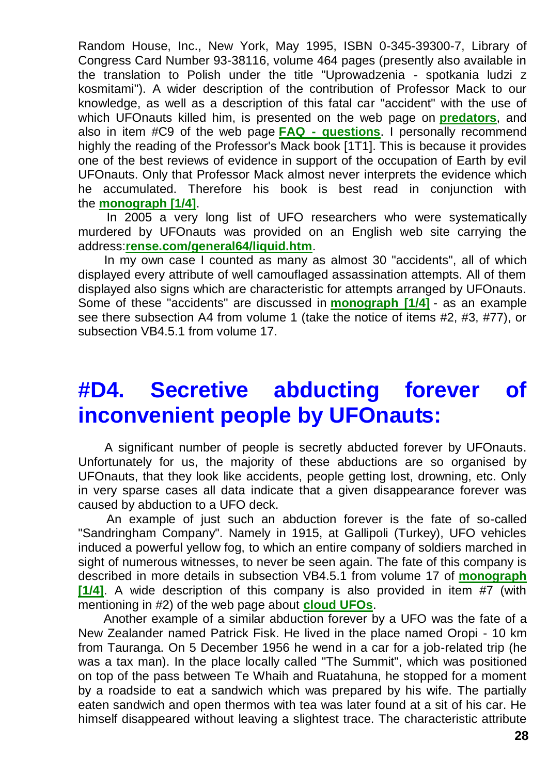Random House, Inc., New York, May 1995, ISBN 0-345-39300-7, Library of Congress Card Number 93-38116, volume 464 pages (presently also available in the translation to Polish under the title "Uprowadzenia - spotkania ludzi z kosmitami"). A wider description of the contribution of Professor Mack to our knowledge, as well as a description of this fatal car "accident" with the use of which UFOnauts killed him, is presented on the web page on **[predators](http://totalizm.com.pl/predators.htm)**, and also in item #C9 of the web page **FAQ - [questions](http://totalizm.com.pl/faq.htm)**. I personally recommend highly the reading of the Professor's Mack book [1T1]. This is because it provides one of the best reviews of evidence in support of the occupation of Earth by evil UFOnauts. Only that Professor Mack almost never interprets the evidence which he accumulated. Therefore his book is best read in conjunction with the **[monograph \[1/4\]](http://totalizm.com.pl/text_1_4.htm)**.

In 2005 a very long list of UFO researchers who were systematically murdered by UFOnauts was provided on an English web site carrying the address:**[rense.com/general64/liquid.htm](http://rense.com/general64/liquid.htm)**.

In my own case I counted as many as almost 30 "accidents", all of which displayed every attribute of well camouflaged assassination attempts. All of them displayed also signs which are characteristic for attempts arranged by UFOnauts. Some of these "accidents" are discussed in **[monograph \[1/4\]](http://totalizm.com.pl/text_1_4.htm)** - as an example see there subsection A4 from volume 1 (take the notice of items #2, #3, #77), or subsection VB4.5.1 from volume 17.

#### **#D4. Secretive abducting forever of inconvenient people by UFOnauts:**

A significant number of people is secretly abducted forever by UFOnauts. Unfortunately for us, the majority of these abductions are so organised by UFOnauts, that they look like accidents, people getting lost, drowning, etc. Only in very sparse cases all data indicate that a given disappearance forever was caused by abduction to a UFO deck.

An example of just such an abduction forever is the fate of so-called "Sandringham Company". Namely in 1915, at Gallipoli (Turkey), UFO vehicles induced a powerful yellow fog, to which an entire company of soldiers marched in sight of numerous witnesses, to never be seen again. The fate of this company is described in more details in subsection VB4.5.1 from volume 17 of **[monograph](http://totalizm.com.pl/text_1_4.htm)  [\[1/4\]](http://totalizm.com.pl/text_1_4.htm)**. A wide description of this company is also provided in item #7 (with mentioning in #2) of the web page about **[cloud UFOs](http://totalizm.com.pl/cloud_ufo.htm)**.

Another example of a similar abduction forever by a UFO was the fate of a New Zealander named Patrick Fisk. He lived in the place named Oropi - 10 km from Tauranga. On 5 December 1956 he wend in a car for a job-related trip (he was a tax man). In the place locally called "The Summit", which was positioned on top of the pass between Te Whaih and Ruatahuna, he stopped for a moment by a roadside to eat a sandwich which was prepared by his wife. The partially eaten sandwich and open thermos with tea was later found at a sit of his car. He himself disappeared without leaving a slightest trace. The characteristic attribute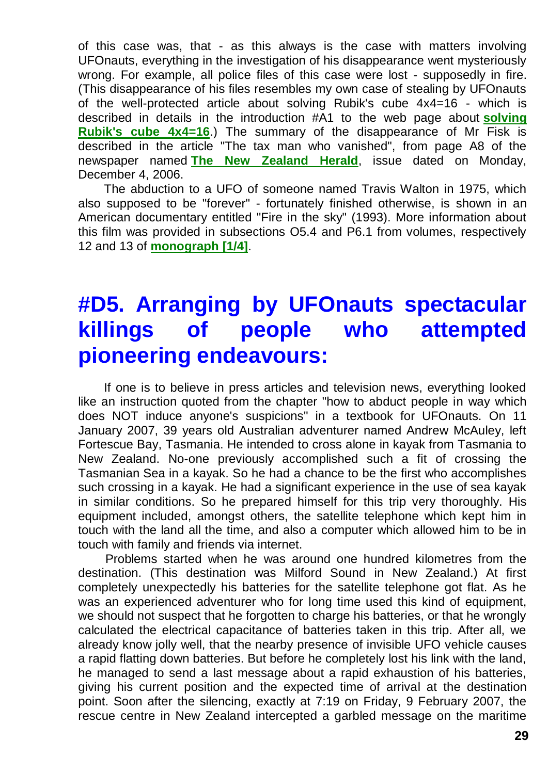of this case was, that - as this always is the case with matters involving UFOnauts, everything in the investigation of his disappearance went mysteriously wrong. For example, all police files of this case were lost - supposedly in fire. (This disappearance of his files resembles my own case of stealing by UFOnauts of the well-protected article about solving Rubik's cube 4x4=16 - which is described in details in the introduction #A1 to the web page about **[solving](http://totalizm.com.pl/rubik_16.htm)  [Rubik's cube 4x4=16](http://totalizm.com.pl/rubik_16.htm)**.) The summary of the disappearance of Mr Fisk is described in the article "The tax man who vanished", from page A8 of the newspaper named **[The New Zealand Herald](http://www.nzherald.co.nz/)**, issue dated on Monday, December 4, 2006.

The abduction to a UFO of someone named Travis Walton in 1975, which also supposed to be "forever" - fortunately finished otherwise, is shown in an American documentary entitled "Fire in the sky" (1993). More information about this film was provided in subsections O5.4 and P6.1 from volumes, respectively 12 and 13 of **[monograph \[1/4\]](http://totalizm.com.pl/text_1_4.htm)**.

# **#D5. Arranging by UFOnauts spectacular killings of people who attempted pioneering endeavours:**

If one is to believe in press articles and television news, everything looked like an instruction quoted from the chapter "how to abduct people in way which does NOT induce anyone's suspicions" in a textbook for UFOnauts. On 11 January 2007, 39 years old Australian adventurer named Andrew McAuley, left Fortescue Bay, Tasmania. He intended to cross alone in kayak from Tasmania to New Zealand. No-one previously accomplished such a fit of crossing the Tasmanian Sea in a kayak. So he had a chance to be the first who accomplishes such crossing in a kayak. He had a significant experience in the use of sea kayak in similar conditions. So he prepared himself for this trip very thoroughly. His equipment included, amongst others, the satellite telephone which kept him in touch with the land all the time, and also a computer which allowed him to be in touch with family and friends via internet.

Problems started when he was around one hundred kilometres from the destination. (This destination was Milford Sound in New Zealand.) At first completely unexpectedly his batteries for the satellite telephone got flat. As he was an experienced adventurer who for long time used this kind of equipment, we should not suspect that he forgotten to charge his batteries, or that he wrongly calculated the electrical capacitance of batteries taken in this trip. After all, we already know jolly well, that the nearby presence of invisible UFO vehicle causes a rapid flatting down batteries. But before he completely lost his link with the land, he managed to send a last message about a rapid exhaustion of his batteries, giving his current position and the expected time of arrival at the destination point. Soon after the silencing, exactly at 7:19 on Friday, 9 February 2007, the rescue centre in New Zealand intercepted a garbled message on the maritime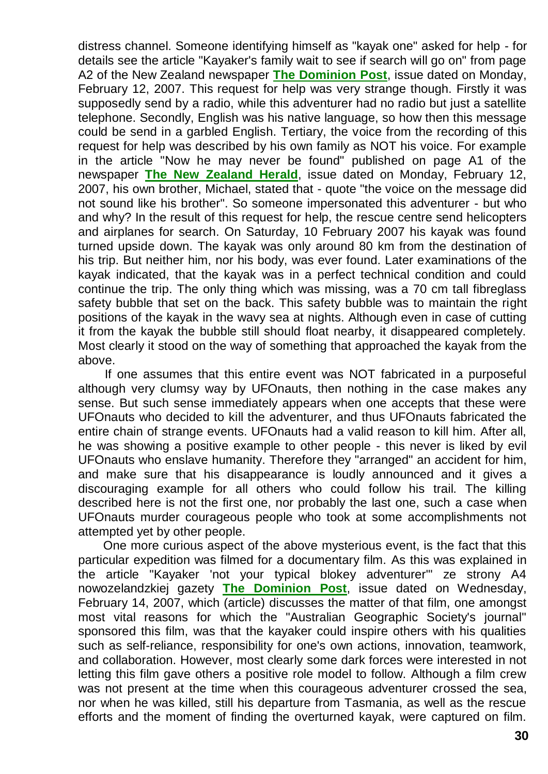distress channel. Someone identifying himself as "kayak one" asked for help - for details see the article "Kayaker's family wait to see if search will go on" from page A2 of the New Zealand newspaper **[The Dominion Post](http://www.dompost.co.nz/)**, issue dated on Monday, February 12, 2007. This request for help was very strange though. Firstly it was supposedly send by a radio, while this adventurer had no radio but just a satellite telephone. Secondly, English was his native language, so how then this message could be send in a garbled English. Tertiary, the voice from the recording of this request for help was described by his own family as NOT his voice. For example in the article "Now he may never be found" published on page A1 of the newspaper **[The New Zealand Herald](http://www.nzherald.co.nz/)**, issue dated on Monday, February 12, 2007, his own brother, Michael, stated that - quote "the voice on the message did not sound like his brother". So someone impersonated this adventurer - but who and why? In the result of this request for help, the rescue centre send helicopters and airplanes for search. On Saturday, 10 February 2007 his kayak was found turned upside down. The kayak was only around 80 km from the destination of his trip. But neither him, nor his body, was ever found. Later examinations of the kayak indicated, that the kayak was in a perfect technical condition and could continue the trip. The only thing which was missing, was a 70 cm tall fibreglass safety bubble that set on the back. This safety bubble was to maintain the right positions of the kayak in the wavy sea at nights. Although even in case of cutting it from the kayak the bubble still should float nearby, it disappeared completely. Most clearly it stood on the way of something that approached the kayak from the above.

If one assumes that this entire event was NOT fabricated in a purposeful although very clumsy way by UFOnauts, then nothing in the case makes any sense. But such sense immediately appears when one accepts that these were UFOnauts who decided to kill the adventurer, and thus UFOnauts fabricated the entire chain of strange events. UFOnauts had a valid reason to kill him. After all, he was showing a positive example to other people - this never is liked by evil UFOnauts who enslave humanity. Therefore they "arranged" an accident for him, and make sure that his disappearance is loudly announced and it gives a discouraging example for all others who could follow his trail. The killing described here is not the first one, nor probably the last one, such a case when UFOnauts murder courageous people who took at some accomplishments not attempted yet by other people.

One more curious aspect of the above mysterious event, is the fact that this particular expedition was filmed for a documentary film. As this was explained in the article "Kayaker 'not your typical blokey adventurer'" ze strony A4 nowozelandzkiej gazety **[The Dominion Post](http://www.dompost.co.nz/)**, issue dated on Wednesday, February 14, 2007, which (article) discusses the matter of that film, one amongst most vital reasons for which the "Australian Geographic Society's journal" sponsored this film, was that the kayaker could inspire others with his qualities such as self-reliance, responsibility for one's own actions, innovation, teamwork, and collaboration. However, most clearly some dark forces were interested in not letting this film gave others a positive role model to follow. Although a film crew was not present at the time when this courageous adventurer crossed the sea, nor when he was killed, still his departure from Tasmania, as well as the rescue efforts and the moment of finding the overturned kayak, were captured on film.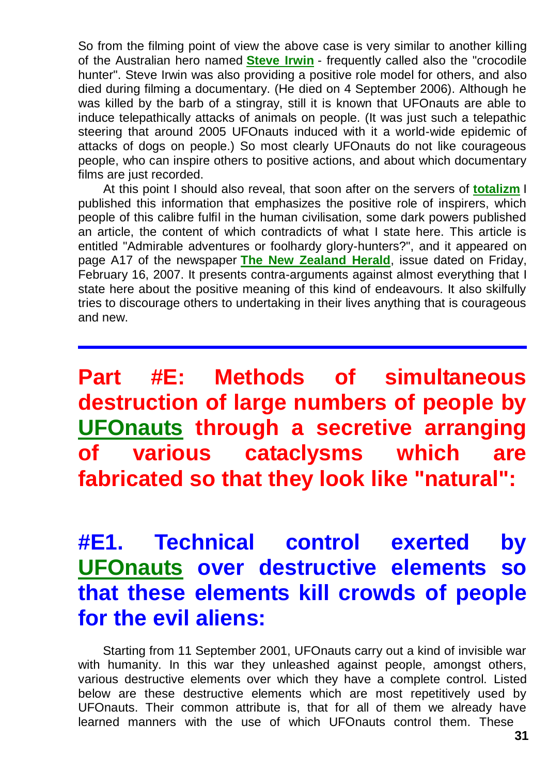So from the filming point of view the above case is very similar to another killing of the Australian hero named **[Steve Irwin](http://www.google.com/search?q=Steve+Irwin+crocodile+hunter+killed)** - frequently called also the "crocodile hunter". Steve Irwin was also providing a positive role model for others, and also died during filming a documentary. (He died on 4 September 2006). Although he was killed by the barb of a stingray, still it is known that UFOnauts are able to induce telepathically attacks of animals on people. (It was just such a telepathic steering that around 2005 UFOnauts induced with it a world-wide epidemic of attacks of dogs on people.) So most clearly UFOnauts do not like courageous people, who can inspire others to positive actions, and about which documentary films are just recorded.

At this point I should also reveal, that soon after on the servers of **[totalizm](http://totalizm.com.pl/totalizm.htm)** I published this information that emphasizes the positive role of inspirers, which people of this calibre fulfil in the human civilisation, some dark powers published an article, the content of which contradicts of what I state here. This article is entitled "Admirable adventures or foolhardy glory-hunters?", and it appeared on page A17 of the newspaper **[The New Zealand Herald](http://www.nzherald.co.nz/)**, issue dated on Friday, February 16, 2007. It presents contra-arguments against almost everything that I state here about the positive meaning of this kind of endeavours. It also skilfully tries to discourage others to undertaking in their lives anything that is courageous and new.

**Part #E: Methods of simultaneous destruction of large numbers of people by [UFOnauts](http://totalizm.com.pl/ufo.htm) through a secretive arranging of various cataclysms which are fabricated so that they look like "natural":**

# **#E1. Technical control exerted by [UFOnauts](http://totalizm.com.pl/ufo.htm) over destructive elements so that these elements kill crowds of people for the evil aliens:**

Starting from 11 September 2001, UFOnauts carry out a kind of invisible war with humanity. In this war they unleashed against people, amongst others, various destructive elements over which they have a complete control. Listed below are these destructive elements which are most repetitively used by UFOnauts. Their common attribute is, that for all of them we already have learned manners with the use of which UFOnauts control them. These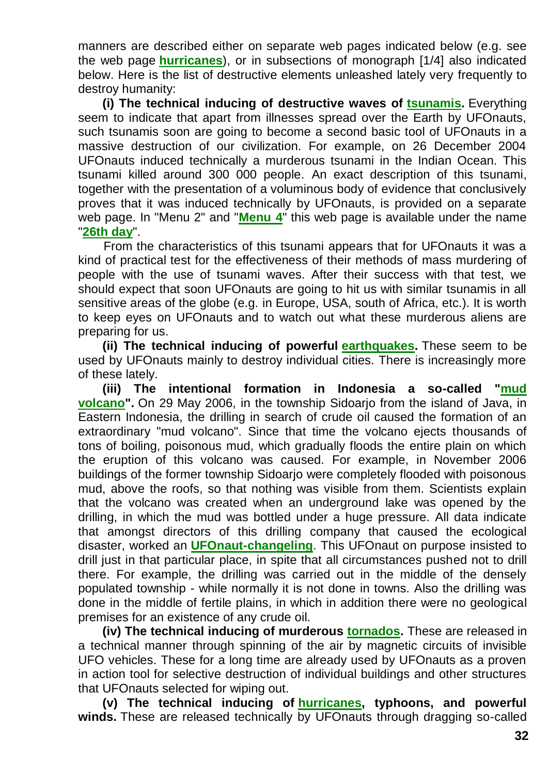manners are described either on separate web pages indicated below (e.g. see the web page **[hurricanes](http://totalizm.com.pl/hurricane.htm)**), or in subsections of monograph [1/4] also indicated below. Here is the list of destructive elements unleashed lately very frequently to destroy humanity:

**(i) The technical inducing of destructive waves of [tsunamis.](http://totalizm.com.pl/day26.htm)** Everything seem to indicate that apart from illnesses spread over the Earth by UFOnauts, such tsunamis soon are going to become a second basic tool of UFOnauts in a massive destruction of our civilization. For example, on 26 December 2004 UFOnauts induced technically a murderous tsunami in the Indian Ocean. This tsunami killed around 300 000 people. An exact description of this tsunami, together with the presentation of a voluminous body of evidence that conclusively proves that it was induced technically by UFOnauts, is provided on a separate web page. In "Menu 2" and "**[Menu 4](http://totalizm.com.pl/menu.htm)**" this web page is available under the name "**[26th day](http://totalizm.com.pl/day26.htm)**".

From the characteristics of this tsunami appears that for UFOnauts it was a kind of practical test for the effectiveness of their methods of mass murdering of people with the use of tsunami waves. After their success with that test, we should expect that soon UFOnauts are going to hit us with similar tsunamis in all sensitive areas of the globe (e.g. in Europe, USA, south of Africa, etc.). It is worth to keep eyes on UFOnauts and to watch out what these murderous aliens are preparing for us.

**(ii) The technical inducing of powerful [earthquakes.](http://totalizm.com.pl/seismograph.htm)** These seem to be used by UFOnauts mainly to destroy individual cities. There is increasingly more of these lately.

**(iii) The intentional formation in Indonesia a so-called ["mud](http://www.google.com/search?q=Java+mud+volcano+Indonesia)  [volcano"](http://www.google.com/search?q=Java+mud+volcano+Indonesia).** On 29 May 2006, in the township Sidoarjo from the island of Java, in Eastern Indonesia, the drilling in search of crude oil caused the formation of an extraordinary "mud volcano". Since that time the volcano ejects thousands of tons of boiling, poisonous mud, which gradually floods the entire plain on which the eruption of this volcano was caused. For example, in November 2006 buildings of the former township Sidoarjo were completely flooded with poisonous mud, above the roofs, so that nothing was visible from them. Scientists explain that the volcano was created when an underground lake was opened by the drilling, in which the mud was bottled under a huge pressure. All data indicate that amongst directors of this drilling company that caused the ecological disaster, worked an **[UFOnaut-changeling](http://totalizm.com.pl/changelings.htm)**. This UFOnaut on purpose insisted to drill just in that particular place, in spite that all circumstances pushed not to drill there. For example, the drilling was carried out in the middle of the densely populated township - while normally it is not done in towns. Also the drilling was done in the middle of fertile plains, in which in addition there were no geological premises for an existence of any crude oil.

**(iv) The technical inducing of murderous [tornados.](http://totalizm.com.pl/tornado.htm)** These are released in a technical manner through spinning of the air by magnetic circuits of invisible UFO vehicles. These for a long time are already used by UFOnauts as a proven in action tool for selective destruction of individual buildings and other structures that UFOnauts selected for wiping out.

**(v) The technical inducing of [hurricanes,](http://totalizm.com.pl/hurricane.htm) typhoons, and powerful**  winds. These are released technically by UFOnauts through dragging so-called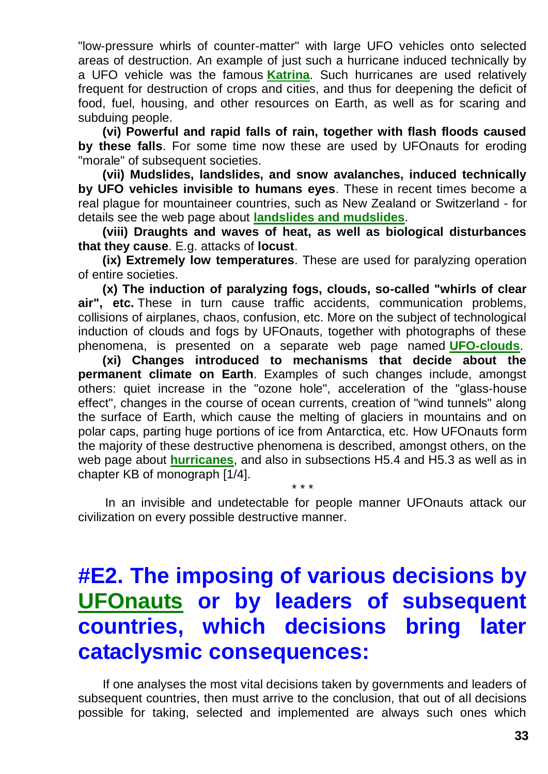"low-pressure whirls of counter-matter" with large UFO vehicles onto selected areas of destruction. An example of just such a hurricane induced technically by a UFO vehicle was the famous **[Katrina](http://totalizm.com.pl/katrina.htm)**. Such hurricanes are used relatively frequent for destruction of crops and cities, and thus for deepening the deficit of food, fuel, housing, and other resources on Earth, as well as for scaring and subduing people.

**(vi) Powerful and rapid falls of rain, together with flash floods caused by these falls**. For some time now these are used by UFOnauts for eroding "morale" of subsequent societies.

**(vii) Mudslides, landslides, and snow avalanches, induced technically by UFO vehicles invisible to humans eyes**. These in recent times become a real plague for mountaineer countries, such as New Zealand or Switzerland - for details see the web page about **[landslides and mudslides](http://totalizm.com.pl/landslips.htm)**.

**(viii) Draughts and waves of heat, as well as biological disturbances that they cause**. E.g. attacks of **locust**.

**(ix) Extremely low temperatures**. These are used for paralyzing operation of entire societies.

**(x) The induction of paralyzing fogs, clouds, so-called "whirls of clear air", etc.** These in turn cause traffic accidents, communication problems, collisions of airplanes, chaos, confusion, etc. More on the subject of technological induction of clouds and fogs by UFOnauts, together with photographs of these phenomena, is presented on a separate web page named **[UFO-clouds](http://totalizm.com.pl/cloud_ufo.htm)**.

**(xi) Changes introduced to mechanisms that decide about the permanent climate on Earth**. Examples of such changes include, amongst others: quiet increase in the "ozone hole", acceleration of the "glass-house effect", changes in the course of ocean currents, creation of "wind tunnels" along the surface of Earth, which cause the melting of glaciers in mountains and on polar caps, parting huge portions of ice from Antarctica, etc. How UFOnauts form the majority of these destructive phenomena is described, amongst others, on the web page about **[hurricanes](http://totalizm.com.pl/hurricane.htm)**, and also in subsections H5.4 and H5.3 as well as in chapter KB of monograph [1/4].

In an invisible and undetectable for people manner UFOnauts attack our civilization on every possible destructive manner.

\* \* \*

# **#E2. The imposing of various decisions by [UFOnauts](http://totalizm.com.pl/changelings.htm) or by leaders of subsequent countries, which decisions bring later cataclysmic consequences:**

If one analyses the most vital decisions taken by governments and leaders of subsequent countries, then must arrive to the conclusion, that out of all decisions possible for taking, selected and implemented are always such ones which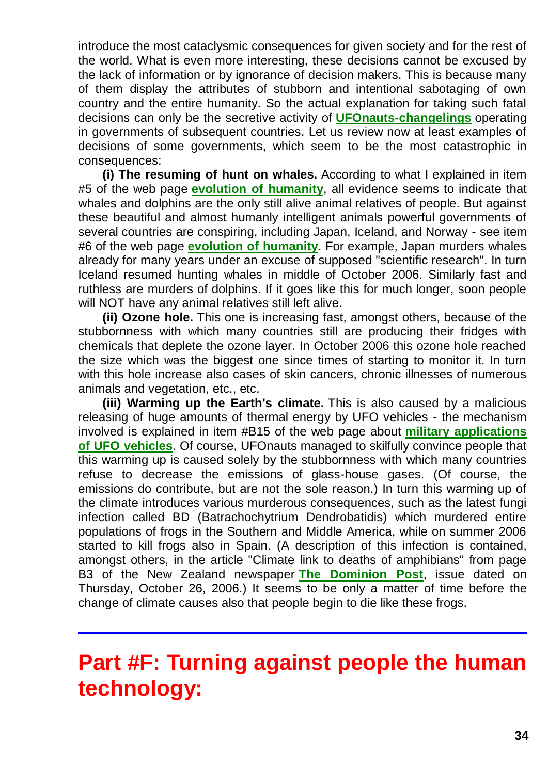introduce the most cataclysmic consequences for given society and for the rest of the world. What is even more interesting, these decisions cannot be excused by the lack of information or by ignorance of decision makers. This is because many of them display the attributes of stubborn and intentional sabotaging of own country and the entire humanity. So the actual explanation for taking such fatal decisions can only be the secretive activity of **[UFOnauts-changelings](http://totalizm.com.pl/changelings.htm)** operating in governments of subsequent countries. Let us review now at least examples of decisions of some governments, which seem to be the most catastrophic in consequences:

**(i) The resuming of hunt on whales.** According to what I explained in item #5 of the web page **[evolution of humanity](http://totalizm.com.pl/evolution.htm)**, all evidence seems to indicate that whales and dolphins are the only still alive animal relatives of people. But against these beautiful and almost humanly intelligent animals powerful governments of several countries are conspiring, including Japan, Iceland, and Norway - see item #6 of the web page **[evolution of humanity](http://totalizm.com.pl/evolution.htm)**. For example, Japan murders whales already for many years under an excuse of supposed "scientific research". In turn Iceland resumed hunting whales in middle of October 2006. Similarly fast and ruthless are murders of dolphins. If it goes like this for much longer, soon people will NOT have any animal relatives still left alive.

**(ii) Ozone hole.** This one is increasing fast, amongst others, because of the stubbornness with which many countries still are producing their fridges with chemicals that deplete the ozone layer. In October 2006 this ozone hole reached the size which was the biggest one since times of starting to monitor it. In turn with this hole increase also cases of skin cancers, chronic illnesses of numerous animals and vegetation, etc., etc.

**(iii) Warming up the Earth's climate.** This is also caused by a malicious releasing of huge amounts of thermal energy by UFO vehicles - the mechanism involved is explained in item #B15 of the web page about **[military applications](http://totalizm.com.pl/military_magnocraft.htm)  [of UFO vehicles](http://totalizm.com.pl/military_magnocraft.htm)**. Of course, UFOnauts managed to skilfully convince people that this warming up is caused solely by the stubbornness with which many countries refuse to decrease the emissions of glass-house gases. (Of course, the emissions do contribute, but are not the sole reason.) In turn this warming up of the climate introduces various murderous consequences, such as the latest fungi infection called BD (Batrachochytrium Dendrobatidis) which murdered entire populations of frogs in the Southern and Middle America, while on summer 2006 started to kill frogs also in Spain. (A description of this infection is contained, amongst others, in the article "Climate link to deaths of amphibians" from page B3 of the New Zealand newspaper **[The Dominion Post](http://www.dompost.co.nz/)**, issue dated on Thursday, October 26, 2006.) It seems to be only a matter of time before the change of climate causes also that people begin to die like these frogs.

# **Part #F: Turning against people the human technology:**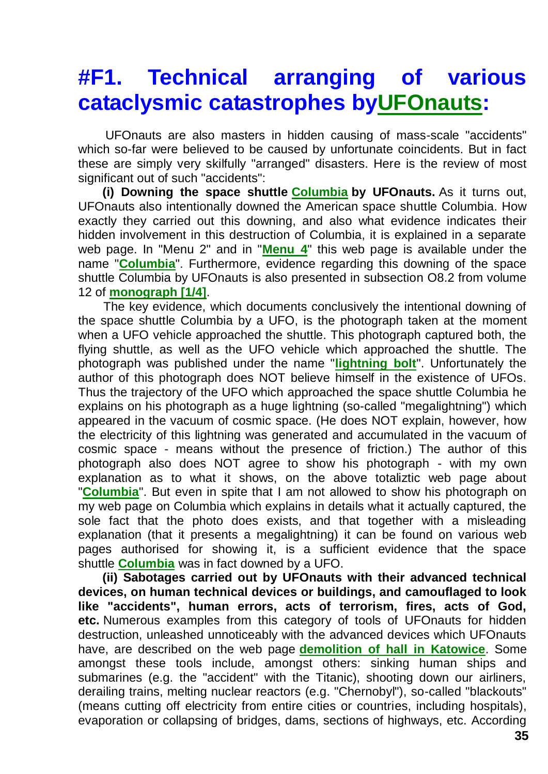# **#F1. Technical arranging of various cataclysmic catastrophes b[yUFOnauts:](http://totalizm.com.pl/ufo.htm)**

UFOnauts are also masters in hidden causing of mass-scale "accidents" which so-far were believed to be caused by unfortunate coincidents. But in fact these are simply very skilfully "arranged" disasters. Here is the review of most significant out of such "accidents":

**(i) Downing the space shuttle [Columbia](http://totalizm.com.pl/shuttle.htm) by UFOnauts.** As it turns out, UFOnauts also intentionally downed the American space shuttle Columbia. How exactly they carried out this downing, and also what evidence indicates their hidden involvement in this destruction of Columbia, it is explained in a separate web page. In "Menu 2" and in "**[Menu 4](http://totalizm.com.pl/menu.htm)**" this web page is available under the name "**[Columbia](http://totalizm.com.pl/shuttle.htm)**". Furthermore, evidence regarding this downing of the space shuttle Columbia by UFOnauts is also presented in subsection O8.2 from volume 12 of **[monograph \[1/4\]](http://totalizm.com.pl/text_1_4.htm)**.

The key evidence, which documents conclusively the intentional downing of the space shuttle Columbia by a UFO, is the photograph taken at the moment when a UFO vehicle approached the shuttle. This photograph captured both, the flying shuttle, as well as the UFO vehicle which approached the shuttle. The photograph was published under the name "**[lightning bolt](http://www.google.com/search?q=megalightning+Columbia+San+Francisco)**". Unfortunately the author of this photograph does NOT believe himself in the existence of UFOs. Thus the trajectory of the UFO which approached the space shuttle Columbia he explains on his photograph as a huge lightning (so-called "megalightning") which appeared in the vacuum of cosmic space. (He does NOT explain, however, how the electricity of this lightning was generated and accumulated in the vacuum of cosmic space - means without the presence of friction.) The author of this photograph also does NOT agree to show his photograph - with my own explanation as to what it shows, on the above totaliztic web page about "**[Columbia](http://totalizm.com.pl/shuttle.htm)**". But even in spite that I am not allowed to show his photograph on my web page on Columbia which explains in details what it actually captured, the sole fact that the photo does exists, and that together with a misleading explanation (that it presents a megalightning) it can be found on various web pages authorised for showing it, is a sufficient evidence that the space shuttle **[Columbia](http://totalizm.com.pl/shuttle.htm)** was in fact downed by a UFO.

**(ii) Sabotages carried out by UFOnauts with their advanced technical devices, on human technical devices or buildings, and camouflaged to look like "accidents", human errors, acts of terrorism, fires, acts of God, etc.** Numerous examples from this category of tools of UFOnauts for hidden destruction, unleashed unnoticeably with the advanced devices which UFOnauts have, are described on the web page **[demolition of hall in Katowice](http://totalizm.com.pl/katowice_uk.htm)**. Some amongst these tools include, amongst others: sinking human ships and submarines (e.g. the "accident" with the Titanic), shooting down our airliners, derailing trains, melting nuclear reactors (e.g. "Chernobyl"), so-called "blackouts" (means cutting off electricity from entire cities or countries, including hospitals), evaporation or collapsing of bridges, dams, sections of highways, etc. According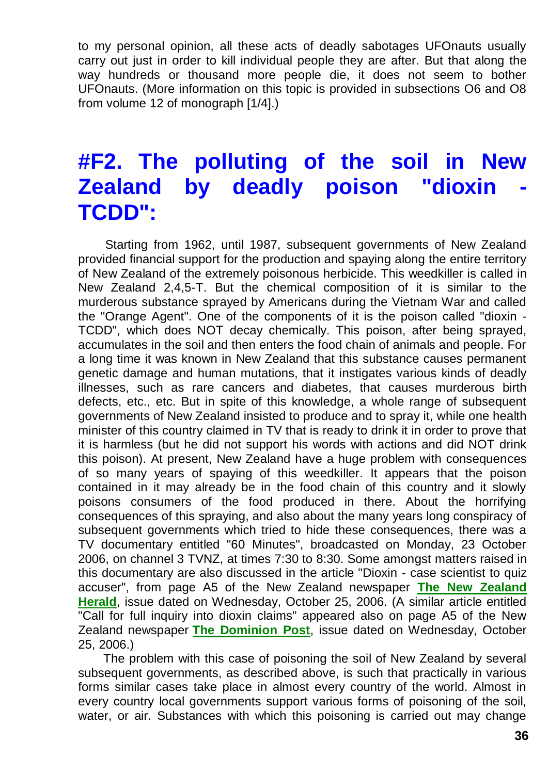to my personal opinion, all these acts of deadly sabotages UFOnauts usually carry out just in order to kill individual people they are after. But that along the way hundreds or thousand more people die, it does not seem to bother UFOnauts. (More information on this topic is provided in subsections O6 and O8 from volume 12 of monograph [1/4].)

# **#F2. The polluting of the soil in New Zealand by deadly poison "dioxin TCDD":**

Starting from 1962, until 1987, subsequent governments of New Zealand provided financial support for the production and spaying along the entire territory of New Zealand of the extremely poisonous herbicide. This weedkiller is called in New Zealand 2,4,5-T. But the chemical composition of it is similar to the murderous substance sprayed by Americans during the Vietnam War and called the "Orange Agent". One of the components of it is the poison called "dioxin - TCDD", which does NOT decay chemically. This poison, after being sprayed, accumulates in the soil and then enters the food chain of animals and people. For a long time it was known in New Zealand that this substance causes permanent genetic damage and human mutations, that it instigates various kinds of deadly illnesses, such as rare cancers and diabetes, that causes murderous birth defects, etc., etc. But in spite of this knowledge, a whole range of subsequent governments of New Zealand insisted to produce and to spray it, while one health minister of this country claimed in TV that is ready to drink it in order to prove that it is harmless (but he did not support his words with actions and did NOT drink this poison). At present, New Zealand have a huge problem with consequences of so many years of spaying of this weedkiller. It appears that the poison contained in it may already be in the food chain of this country and it slowly poisons consumers of the food produced in there. About the horrifying consequences of this spraying, and also about the many years long conspiracy of subsequent governments which tried to hide these consequences, there was a TV documentary entitled "60 Minutes", broadcasted on Monday, 23 October 2006, on channel 3 TVNZ, at times 7:30 to 8:30. Some amongst matters raised in this documentary are also discussed in the article "Dioxin - case scientist to quiz accuser", from page A5 of the New Zealand newspaper **[The New Zealand](http://www.nzherald.co.nz/)  [Herald](http://www.nzherald.co.nz/)**, issue dated on Wednesday, October 25, 2006. (A similar article entitled "Call for full inquiry into dioxin claims" appeared also on page A5 of the New Zealand newspaper **[The Dominion Post](http://www.dompost.co.nz/)**, issue dated on Wednesday, October 25, 2006.)

The problem with this case of poisoning the soil of New Zealand by several subsequent governments, as described above, is such that practically in various forms similar cases take place in almost every country of the world. Almost in every country local governments support various forms of poisoning of the soil, water, or air. Substances with which this poisoning is carried out may change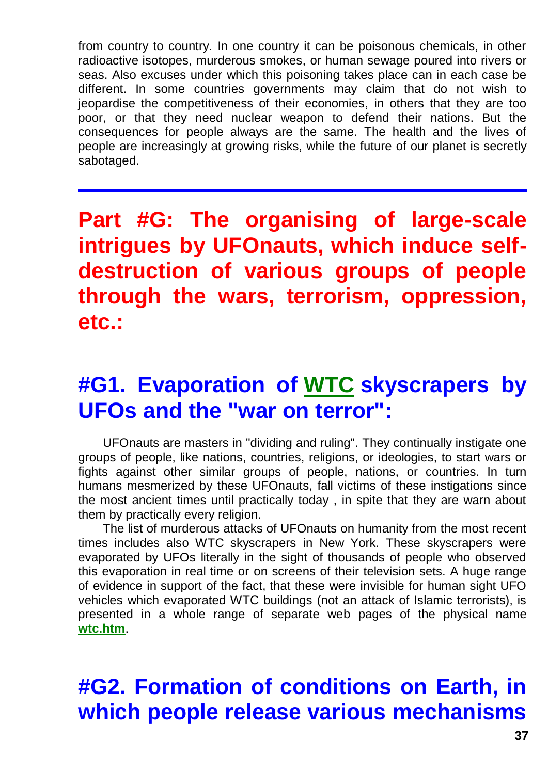from country to country. In one country it can be poisonous chemicals, in other radioactive isotopes, murderous smokes, or human sewage poured into rivers or seas. Also excuses under which this poisoning takes place can in each case be different. In some countries governments may claim that do not wish to jeopardise the competitiveness of their economies, in others that they are too poor, or that they need nuclear weapon to defend their nations. But the consequences for people always are the same. The health and the lives of people are increasingly at growing risks, while the future of our planet is secretly sabotaged.

**Part #G: The organising of large-scale intrigues by UFOnauts, which induce selfdestruction of various groups of people through the wars, terrorism, oppression, etc.:**

#### **#G1. Evaporation of [WTC](http://totalizm.com.pl/wtc.htm) skyscrapers by UFOs and the "war on terror":**

UFOnauts are masters in "dividing and ruling". They continually instigate one groups of people, like nations, countries, religions, or ideologies, to start wars or fights against other similar groups of people, nations, or countries. In turn humans mesmerized by these UFOnauts, fall victims of these instigations since the most ancient times until practically today , in spite that they are warn about them by practically every religion.

The list of murderous attacks of UFOnauts on humanity from the most recent times includes also WTC skyscrapers in New York. These skyscrapers were evaporated by UFOs literally in the sight of thousands of people who observed this evaporation in real time or on screens of their television sets. A huge range of evidence in support of the fact, that these were invisible for human sight UFO vehicles which evaporated WTC buildings (not an attack of Islamic terrorists), is presented in a whole range of separate web pages of the physical name **[wtc.htm](http://totalizm.com.pl/wtc.htm)**.

# **#G2. Formation of conditions on Earth, in which people release various mechanisms**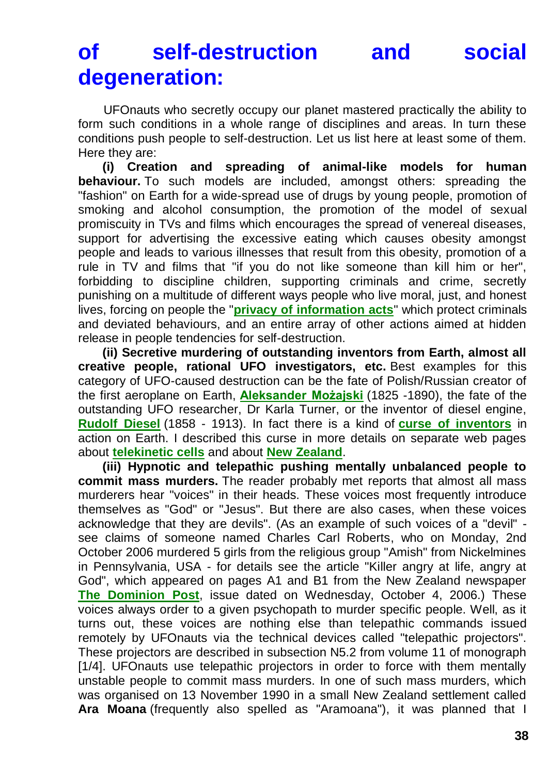# **of self-destruction and social degeneration:**

UFOnauts who secretly occupy our planet mastered practically the ability to form such conditions in a whole range of disciplines and areas. In turn these conditions push people to self-destruction. Let us list here at least some of them. Here they are:

**(i) Creation and spreading of animal-like models for human behaviour.** To such models are included, amongst others: spreading the "fashion" on Earth for a wide-spread use of drugs by young people, promotion of smoking and alcohol consumption, the promotion of the model of sexual promiscuity in TVs and films which encourages the spread of venereal diseases, support for advertising the excessive eating which causes obesity amongst people and leads to various illnesses that result from this obesity, promotion of a rule in TV and films that "if you do not like someone than kill him or her", forbidding to discipline children, supporting criminals and crime, secretly punishing on a multitude of different ways people who live moral, just, and honest lives, forcing on people the "**[privacy of information acts](http://totalizm.com.pl/humanity.htm)**" which protect criminals and deviated behaviours, and an entire array of other actions aimed at hidden release in people tendencies for self-destruction.

**(ii) Secretive murdering of outstanding inventors from Earth, almost all creative people, rational UFO investigators, etc.** Best examples for this category of UFO-caused destruction can be the fate of Polish/Russian creator of the first aeroplane on Earth, **[Aleksander Możajski](http://totalizm.com.pl/mozajski_uk.htm)** (1825 -1890), the fate of the outstanding UFO researcher, Dr Karla Turner, or the inventor of diesel engine, **[Rudolf Diesel](http://totalizm.com.pl/newzealand.htm)** (1858 - 1913). In fact there is a kind of **[curse of inventors](http://totalizm.com.pl/fe_cell.htm)** in action on Earth. I described this curse in more details on separate web pages about **[telekinetic cells](http://totalizm.com.pl/fe_cell.htm)** and about **[New Zealand](http://totalizm.com.pl/newzealand.htm)**.

**(iii) Hypnotic and telepathic pushing mentally unbalanced people to commit mass murders.** The reader probably met reports that almost all mass murderers hear "voices" in their heads. These voices most frequently introduce themselves as "God" or "Jesus". But there are also cases, when these voices acknowledge that they are devils". (As an example of such voices of a "devil" see claims of someone named Charles Carl Roberts, who on Monday, 2nd October 2006 murdered 5 girls from the religious group "Amish" from Nickelmines in Pennsylvania, USA - for details see the article "Killer angry at life, angry at God", which appeared on pages A1 and B1 from the New Zealand newspaper **[The Dominion Post](http://www.dompost.co.nz/)**, issue dated on Wednesday, October 4, 2006.) These voices always order to a given psychopath to murder specific people. Well, as it turns out, these voices are nothing else than telepathic commands issued remotely by UFOnauts via the technical devices called "telepathic projectors". These projectors are described in subsection N5.2 from volume 11 of monograph [1/4]. UFOnauts use telepathic projectors in order to force with them mentally unstable people to commit mass murders. In one of such mass murders, which was organised on 13 November 1990 in a small New Zealand settlement called **Ara Moana** (frequently also spelled as "Aramoana"), it was planned that I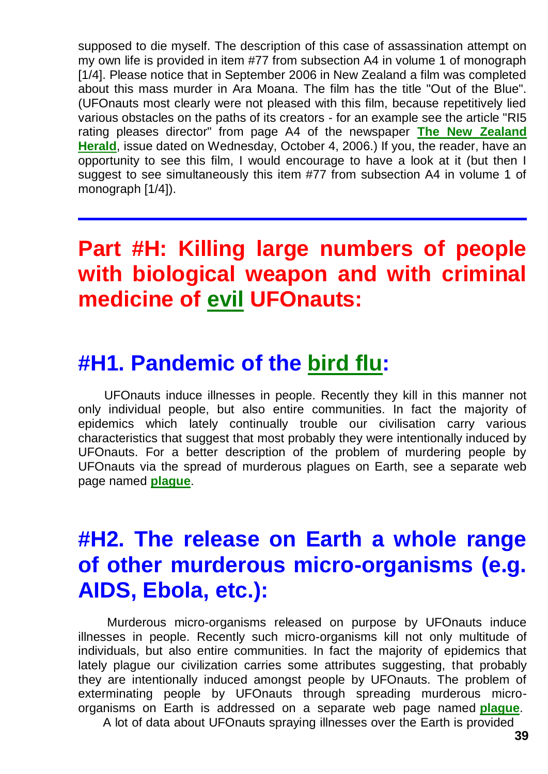supposed to die myself. The description of this case of assassination attempt on my own life is provided in item #77 from subsection A4 in volume 1 of monograph [1/4]. Please notice that in September 2006 in New Zealand a film was completed about this mass murder in Ara Moana. The film has the title "Out of the Blue". (UFOnauts most clearly were not pleased with this film, because repetitively lied various obstacles on the paths of its creators - for an example see the article "RI5 rating pleases director" from page A4 of the newspaper **[The New Zealand](http://www.nzherald.co.nz/)  [Herald](http://www.nzherald.co.nz/)**, issue dated on Wednesday, October 4, 2006.) If you, the reader, have an opportunity to see this film, I would encourage to have a look at it (but then I suggest to see simultaneously this item #77 from subsection A4 in volume 1 of monograph [1/4]).

### **Part #H: Killing large numbers of people with biological weapon and with criminal medicine of [evil](http://totalizm.com.pl/evil.htm) UFOnauts:**

#### **#H1. Pandemic of the [bird flu:](http://totalizm.com.pl/plague.htm)**

UFOnauts induce illnesses in people. Recently they kill in this manner not only individual people, but also entire communities. In fact the majority of epidemics which lately continually trouble our civilisation carry various characteristics that suggest that most probably they were intentionally induced by UFOnauts. For a better description of the problem of murdering people by UFOnauts via the spread of murderous plagues on Earth, see a separate web page named **[plague](http://totalizm.com.pl/plague.htm)**.

# **#H2. The release on Earth a whole range of other murderous micro-organisms (e.g. AIDS, Ebola, etc.):**

Murderous micro-organisms released on purpose by UFOnauts induce illnesses in people. Recently such micro-organisms kill not only multitude of individuals, but also entire communities. In fact the majority of epidemics that lately plague our civilization carries some attributes suggesting, that probably they are intentionally induced amongst people by UFOnauts. The problem of exterminating people by UFOnauts through spreading murderous microorganisms on Earth is addressed on a separate web page named **[plague](http://totalizm.com.pl/plague.htm)**.

A lot of data about UFOnauts spraying illnesses over the Earth is provided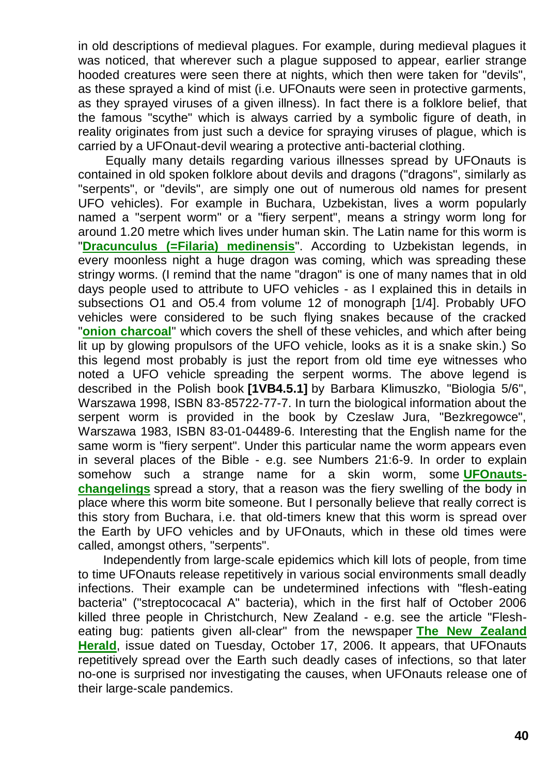in old descriptions of medieval plagues. For example, during medieval plagues it was noticed, that wherever such a plague supposed to appear, earlier strange hooded creatures were seen there at nights, which then were taken for "devils", as these sprayed a kind of mist (i.e. UFOnauts were seen in protective garments, as they sprayed viruses of a given illness). In fact there is a folklore belief, that the famous "scythe" which is always carried by a symbolic figure of death, in reality originates from just such a device for spraying viruses of plague, which is carried by a UFOnaut-devil wearing a protective anti-bacterial clothing.

Equally many details regarding various illnesses spread by UFOnauts is contained in old spoken folklore about devils and dragons ("dragons", similarly as "serpents", or "devils", are simply one out of numerous old names for present UFO vehicles). For example in Buchara, Uzbekistan, lives a worm popularly named a "serpent worm" or a "fiery serpent", means a stringy worm long for around 1.20 metre which lives under human skin. The Latin name for this worm is "**[Dracunculus \(=Filaria\) medinensis](http://www.google.com/search?q=fiery+serpent+dracunculus+medinensis)**". According to Uzbekistan legends, in every moonless night a huge dragon was coming, which was spreading these stringy worms. (I remind that the name "dragon" is one of many names that in old days people used to attribute to UFO vehicles - as I explained this in details in subsections O1 and O5.4 from volume 12 of monograph [1/4]. Probably UFO vehicles were considered to be such flying snakes because of the cracked "**[onion charcoal](http://totalizm.com.pl/evidence.htm)**" which covers the shell of these vehicles, and which after being lit up by glowing propulsors of the UFO vehicle, looks as it is a snake skin.) So this legend most probably is just the report from old time eye witnesses who noted a UFO vehicle spreading the serpent worms. The above legend is described in the Polish book **[1VB4.5.1]** by Barbara Klimuszko, "Biologia 5/6", Warszawa 1998, ISBN 83-85722-77-7. In turn the biological information about the serpent worm is provided in the book by Czeslaw Jura, "Bezkregowce", Warszawa 1983, ISBN 83-01-04489-6. Interesting that the English name for the same worm is "fiery serpent". Under this particular name the worm appears even in several places of the Bible - e.g. see Numbers 21:6-9. In order to explain somehow such a strange name for a skin worm, some **[UFOnauts](http://totalizm.com.pl/changelings.htm)[changelings](http://totalizm.com.pl/changelings.htm)** spread a story, that a reason was the fiery swelling of the body in place where this worm bite someone. But I personally believe that really correct is this story from Buchara, i.e. that old-timers knew that this worm is spread over the Earth by UFO vehicles and by UFOnauts, which in these old times were called, amongst others, "serpents".

Independently from large-scale epidemics which kill lots of people, from time to time UFOnauts release repetitively in various social environments small deadly infections. Their example can be undetermined infections with "flesh-eating bacteria" ("streptococacal A" bacteria), which in the first half of October 2006 killed three people in Christchurch, New Zealand - e.g. see the article "Flesheating bug: patients given all-clear" from the newspaper **[The New Zealand](http://www.nzherald.co.nz/)  [Herald](http://www.nzherald.co.nz/)**, issue dated on Tuesday, October 17, 2006. It appears, that UFOnauts repetitively spread over the Earth such deadly cases of infections, so that later no-one is surprised nor investigating the causes, when UFOnauts release one of their large-scale pandemics.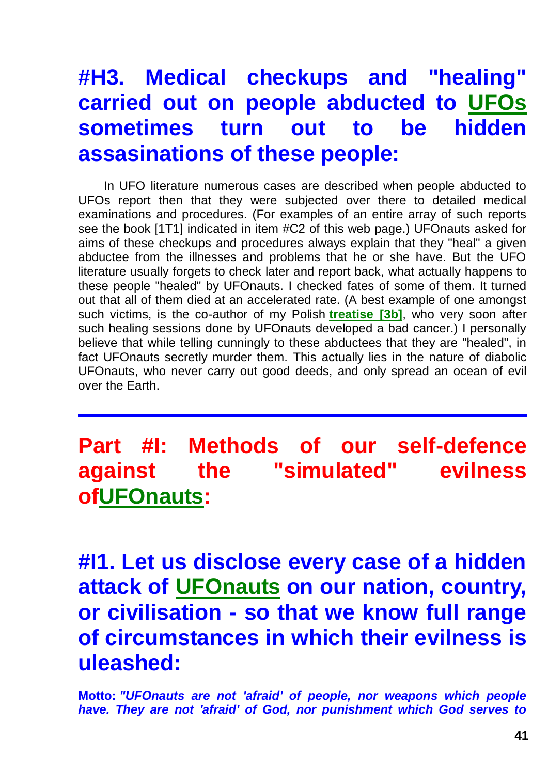# **#H3. Medical checkups and "healing" carried out on people abducted to [UFOs](http://totalizm.com.pl/ufo.htm) sometimes turn out to be hidden assasinations of these people:**

In UFO literature numerous cases are described when people abducted to UFOs report then that they were subjected over there to detailed medical examinations and procedures. (For examples of an entire array of such reports see the book [1T1] indicated in item #C2 of this web page.) UFOnauts asked for aims of these checkups and procedures always explain that they "heal" a given abductee from the illnesses and problems that he or she have. But the UFO literature usually forgets to check later and report back, what actually happens to these people "healed" by UFOnauts. I checked fates of some of them. It turned out that all of them died at an accelerated rate. (A best example of one amongst such victims, is the co-author of my Polish **[treatise \[3b\]](http://totalizm.com.pl/tekst_3b.htm)**, who very soon after such healing sessions done by UFOnauts developed a bad cancer.) I personally believe that while telling cunningly to these abductees that they are "healed", in fact UFOnauts secretly murder them. This actually lies in the nature of diabolic UFOnauts, who never carry out good deeds, and only spread an ocean of evil over the Earth.

# **Part #I: Methods of our self-defence against the "simulated" evilness o[fUFOnauts:](http://totalizm.com.pl/ufo.htm)**

**#I1. Let us disclose every case of a hidden attack of [UFOnauts](http://totalizm.com.pl/ufo.htm) on our nation, country, or civilisation - so that we know full range of circumstances in which their evilness is uleashed:**

**Motto:** *"UFOnauts are not 'afraid' of people, nor weapons which people have. They are not 'afraid' of God, nor punishment which God serves to*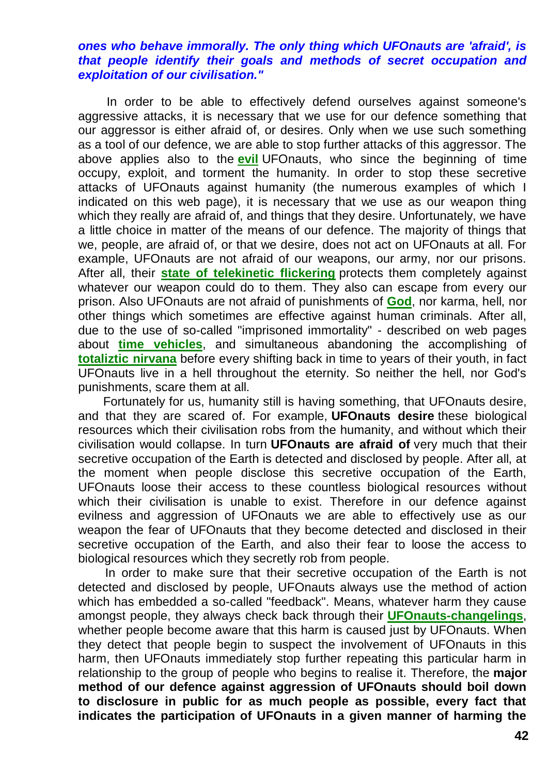#### *ones who behave immorally. The only thing which UFOnauts are 'afraid', is that people identify their goals and methods of secret occupation and exploitation of our civilisation."*

In order to be able to effectively defend ourselves against someone's aggressive attacks, it is necessary that we use for our defence something that our aggressor is either afraid of, or desires. Only when we use such something as a tool of our defence, we are able to stop further attacks of this aggressor. The above applies also to the **[evil](http://totalizm.com.pl/evil.htm)** UFOnauts, who since the beginning of time occupy, exploit, and torment the humanity. In order to stop these secretive attacks of UFOnauts against humanity (the numerous examples of which I indicated on this web page), it is necessary that we use as our weapon thing which they really are afraid of, and things that they desire. Unfortunately, we have a little choice in matter of the means of our defence. The majority of things that we, people, are afraid of, or that we desire, does not act on UFOnauts at all. For example, UFOnauts are not afraid of our weapons, our army, nor our prisons. After all, their **[state of telekinetic flickering](http://totalizm.com.pl/dipolar_gravity.htm)** protects them completely against whatever our weapon could do to them. They also can escape from every our prison. Also UFOnauts are not afraid of punishments of **[God](http://totalizm.com.pl/god.htm)**, nor karma, hell, nor other things which sometimes are effective against human criminals. After all, due to the use of so-called "imprisoned immortality" - described on web pages about **[time vehicles](http://totalizm.com.pl/timevehicle.htm)**, and simultaneous abandoning the accomplishing of **[totaliztic nirvana](http://totalizm.com.pl/nirvana.htm)** before every shifting back in time to years of their youth, in fact UFOnauts live in a hell throughout the eternity. So neither the hell, nor God's punishments, scare them at all.

Fortunately for us, humanity still is having something, that UFOnauts desire, and that they are scared of. For example, **UFOnauts desire** these biological resources which their civilisation robs from the humanity, and without which their civilisation would collapse. In turn **UFOnauts are afraid of** very much that their secretive occupation of the Earth is detected and disclosed by people. After all, at the moment when people disclose this secretive occupation of the Earth, UFOnauts loose their access to these countless biological resources without which their civilisation is unable to exist. Therefore in our defence against evilness and aggression of UFOnauts we are able to effectively use as our weapon the fear of UFOnauts that they become detected and disclosed in their secretive occupation of the Earth, and also their fear to loose the access to biological resources which they secretly rob from people.

In order to make sure that their secretive occupation of the Earth is not detected and disclosed by people, UFOnauts always use the method of action which has embedded a so-called "feedback". Means, whatever harm they cause amongst people, they always check back through their **[UFOnauts-changelings](http://totalizm.com.pl/changelings.htm)**, whether people become aware that this harm is caused just by UFOnauts. When they detect that people begin to suspect the involvement of UFOnauts in this harm, then UFOnauts immediately stop further repeating this particular harm in relationship to the group of people who begins to realise it. Therefore, the **major method of our defence against aggression of UFOnauts should boil down to disclosure in public for as much people as possible, every fact that indicates the participation of UFOnauts in a given manner of harming the**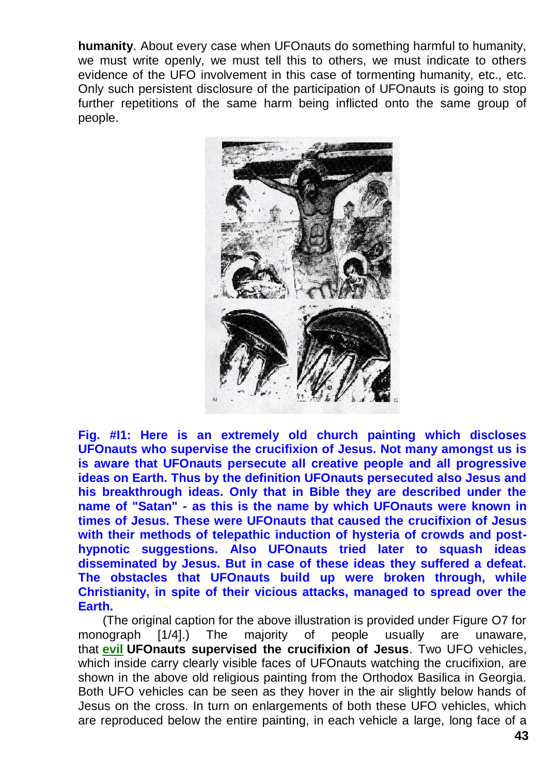**humanity**. About every case when UFOnauts do something harmful to humanity, we must write openly, we must tell this to others, we must indicate to others evidence of the UFO involvement in this case of tormenting humanity, etc., etc. Only such persistent disclosure of the participation of UFOnauts is going to stop further repetitions of the same harm being inflicted onto the same group of people.



**Fig. #I1: Here is an extremely old church painting which discloses UFOnauts who supervise the crucifixion of Jesus. Not many amongst us is is aware that UFOnauts persecute all creative people and all progressive ideas on Earth. Thus by the definition UFOnauts persecuted also Jesus and his breakthrough ideas. Only that in Bible they are described under the name of "Satan" - as this is the name by which UFOnauts were known in times of Jesus. These were UFOnauts that caused the crucifixion of Jesus with their methods of telepathic induction of hysteria of crowds and posthypnotic suggestions. Also UFOnauts tried later to squash ideas disseminated by Jesus. But in case of these ideas they suffered a defeat. The obstacles that UFOnauts build up were broken through, while Christianity, in spite of their vicious attacks, managed to spread over the Earth.**

(The original caption for the above illustration is provided under Figure O7 for monograph [1/4].) The majority of people usually are unaware, that **[evil](http://totalizm.com.pl/evil.htm) UFOnauts supervised the crucifixion of Jesus**. Two UFO vehicles, which inside carry clearly visible faces of UFOnauts watching the crucifixion, are shown in the above old religious painting from the Orthodox Basilica in Georgia. Both UFO vehicles can be seen as they hover in the air slightly below hands of Jesus on the cross. In turn on enlargements of both these UFO vehicles, which are reproduced below the entire painting, in each vehicle a large, long face of a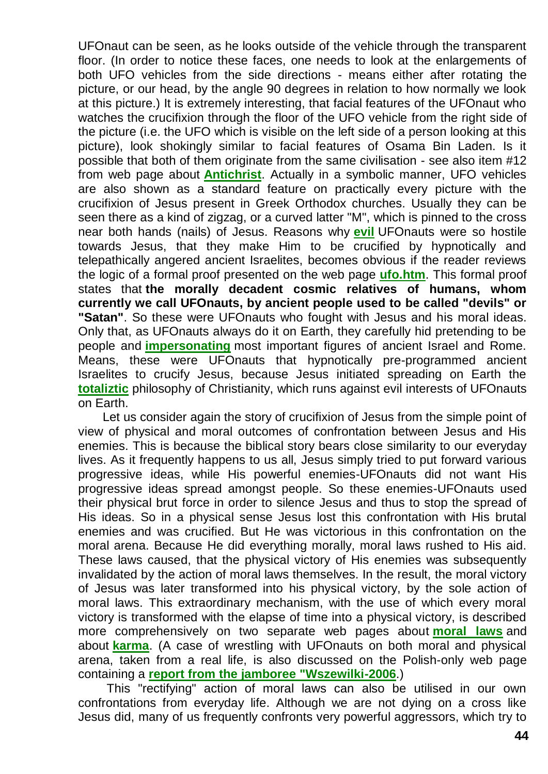UFOnaut can be seen, as he looks outside of the vehicle through the transparent floor. (In order to notice these faces, one needs to look at the enlargements of both UFO vehicles from the side directions - means either after rotating the picture, or our head, by the angle 90 degrees in relation to how normally we look at this picture.) It is extremely interesting, that facial features of the UFOnaut who watches the crucifixion through the floor of the UFO vehicle from the right side of the picture (i.e. the UFO which is visible on the left side of a person looking at this picture), look shokingly similar to facial features of Osama Bin Laden. Is it possible that both of them originate from the same civilisation - see also item #12 from web page about **[Antichrist](http://totalizm.com.pl/antichrist.htm)**. Actually in a symbolic manner, UFO vehicles are also shown as a standard feature on practically every picture with the crucifixion of Jesus present in Greek Orthodox churches. Usually they can be seen there as a kind of zigzag, or a curved latter "M", which is pinned to the cross near both hands (nails) of Jesus. Reasons why **[evil](http://totalizm.com.pl/evil.htm)** UFOnauts were so hostile towards Jesus, that they make Him to be crucified by hypnotically and telepathically angered ancient Israelites, becomes obvious if the reader reviews the logic of a formal proof presented on the web page **[ufo.htm](http://totalizm.com.pl/ufo.htm)**. This formal proof states that **the morally decadent cosmic relatives of humans, whom currently we call UFOnauts, by ancient people used to be called "devils" or "Satan"**. So these were UFOnauts who fought with Jesus and his moral ideas. Only that, as UFOnauts always do it on Earth, they carefully hid pretending to be people and **[impersonating](http://totalizm.com.pl/changelings.htm)** most important figures of ancient Israel and Rome. Means, these were UFOnauts that hypnotically pre-programmed ancient Israelites to crucify Jesus, because Jesus initiated spreading on Earth the **[totaliztic](http://totalizm.com.pl/totalizm.htm)** philosophy of Christianity, which runs against evil interests of UFOnauts on Earth.

Let us consider again the story of crucifixion of Jesus from the simple point of view of physical and moral outcomes of confrontation between Jesus and His enemies. This is because the biblical story bears close similarity to our everyday lives. As it frequently happens to us all, Jesus simply tried to put forward various progressive ideas, while His powerful enemies-UFOnauts did not want His progressive ideas spread amongst people. So these enemies-UFOnauts used their physical brut force in order to silence Jesus and thus to stop the spread of His ideas. So in a physical sense Jesus lost this confrontation with His brutal enemies and was crucified. But He was victorious in this confrontation on the moral arena. Because He did everything morally, moral laws rushed to His aid. These laws caused, that the physical victory of His enemies was subsequently invalidated by the action of moral laws themselves. In the result, the moral victory of Jesus was later transformed into his physical victory, by the sole action of moral laws. This extraordinary mechanism, with the use of which every moral victory is transformed with the elapse of time into a physical victory, is described more comprehensively on two separate web pages about **[moral laws](http://totalizm.com.pl/morals.htm)** and about **[karma](http://totalizm.com.pl/karma.htm)**. (A case of wrestling with UFOnauts on both moral and physical arena, taken from a real life, is also discussed on the Polish-only web page containing a **[report from the jamboree "Wszewilki-2006](http://totalizm.com.pl/wszewilki_2006_raport.htm)**.)

This "rectifying" action of moral laws can also be utilised in our own confrontations from everyday life. Although we are not dying on a cross like Jesus did, many of us frequently confronts very powerful aggressors, which try to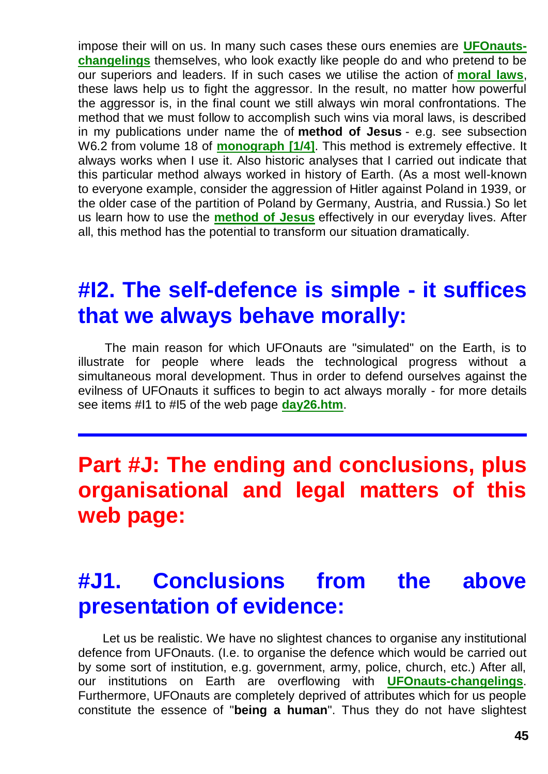impose their will on us. In many such cases these ours enemies are **[UFOnauts](http://totalizm.com.pl/changelings.htm)[changelings](http://totalizm.com.pl/changelings.htm)** themselves, who look exactly like people do and who pretend to be our superiors and leaders. If in such cases we utilise the action of **[moral laws](http://totalizm.com.pl/morals.htm)**, these laws help us to fight the aggressor. In the result, no matter how powerful the aggressor is, in the final count we still always win moral confrontations. The method that we must follow to accomplish such wins via moral laws, is described in my publications under name the of **method of Jesus** - e.g. see subsection W6.2 from volume 18 of **[monograph \[1/4\]](http://totalizm.com.pl/text_1_4.htm)**. This method is extremely effective. It always works when I use it. Also historic analyses that I carried out indicate that this particular method always worked in history of Earth. (As a most well-known to everyone example, consider the aggression of Hitler against Poland in 1939, or the older case of the partition of Poland by Germany, Austria, and Russia.) So let us learn how to use the **[method of Jesus](http://totalizm.com.pl/karma.htm)** effectively in our everyday lives. After all, this method has the potential to transform our situation dramatically.

#### **#I2. The self-defence is simple - it suffices that we always behave morally:**

The main reason for which UFOnauts are "simulated" on the Earth, is to illustrate for people where leads the technological progress without a simultaneous moral development. Thus in order to defend ourselves against the evilness of UFOnauts it suffices to begin to act always morally - for more details see items #I1 to #I5 of the web page **[day26.htm](http://totalizm.com.pl/day26.htm)**.

# **Part #J: The ending and conclusions, plus organisational and legal matters of this web page:**

# **#J1. Conclusions from the above presentation of evidence:**

Let us be realistic. We have no slightest chances to organise any institutional defence from UFOnauts. (I.e. to organise the defence which would be carried out by some sort of institution, e.g. government, army, police, church, etc.) After all, our institutions on Earth are overflowing with **[UFOnauts-changelings](http://totalizm.com.pl/changelings.htm)**. Furthermore, UFOnauts are completely deprived of attributes which for us people constitute the essence of "**being a human**". Thus they do not have slightest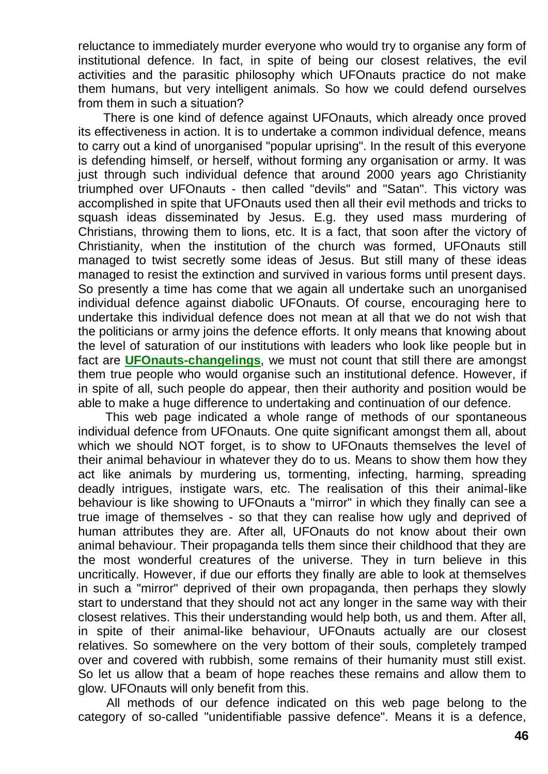reluctance to immediately murder everyone who would try to organise any form of institutional defence. In fact, in spite of being our closest relatives, the evil activities and the parasitic philosophy which UFOnauts practice do not make them humans, but very intelligent animals. So how we could defend ourselves from them in such a situation?

There is one kind of defence against UFOnauts, which already once proved its effectiveness in action. It is to undertake a common individual defence, means to carry out a kind of unorganised "popular uprising". In the result of this everyone is defending himself, or herself, without forming any organisation or army. It was just through such individual defence that around 2000 years ago Christianity triumphed over UFOnauts - then called "devils" and "Satan". This victory was accomplished in spite that UFOnauts used then all their evil methods and tricks to squash ideas disseminated by Jesus. E.g. they used mass murdering of Christians, throwing them to lions, etc. It is a fact, that soon after the victory of Christianity, when the institution of the church was formed, UFOnauts still managed to twist secretly some ideas of Jesus. But still many of these ideas managed to resist the extinction and survived in various forms until present days. So presently a time has come that we again all undertake such an unorganised individual defence against diabolic UFOnauts. Of course, encouraging here to undertake this individual defence does not mean at all that we do not wish that the politicians or army joins the defence efforts. It only means that knowing about the level of saturation of our institutions with leaders who look like people but in fact are **[UFOnauts-changelings](http://totalizm.com.pl/changelings.htm)**, we must not count that still there are amongst them true people who would organise such an institutional defence. However, if in spite of all, such people do appear, then their authority and position would be able to make a huge difference to undertaking and continuation of our defence.

This web page indicated a whole range of methods of our spontaneous individual defence from UFOnauts. One quite significant amongst them all, about which we should NOT forget, is to show to UFOnauts themselves the level of their animal behaviour in whatever they do to us. Means to show them how they act like animals by murdering us, tormenting, infecting, harming, spreading deadly intrigues, instigate wars, etc. The realisation of this their animal-like behaviour is like showing to UFOnauts a "mirror" in which they finally can see a true image of themselves - so that they can realise how ugly and deprived of human attributes they are. After all, UFOnauts do not know about their own animal behaviour. Their propaganda tells them since their childhood that they are the most wonderful creatures of the universe. They in turn believe in this uncritically. However, if due our efforts they finally are able to look at themselves in such a "mirror" deprived of their own propaganda, then perhaps they slowly start to understand that they should not act any longer in the same way with their closest relatives. This their understanding would help both, us and them. After all, in spite of their animal-like behaviour, UFOnauts actually are our closest relatives. So somewhere on the very bottom of their souls, completely tramped over and covered with rubbish, some remains of their humanity must still exist. So let us allow that a beam of hope reaches these remains and allow them to glow. UFOnauts will only benefit from this.

All methods of our defence indicated on this web page belong to the category of so-called "unidentifiable passive defence". Means it is a defence,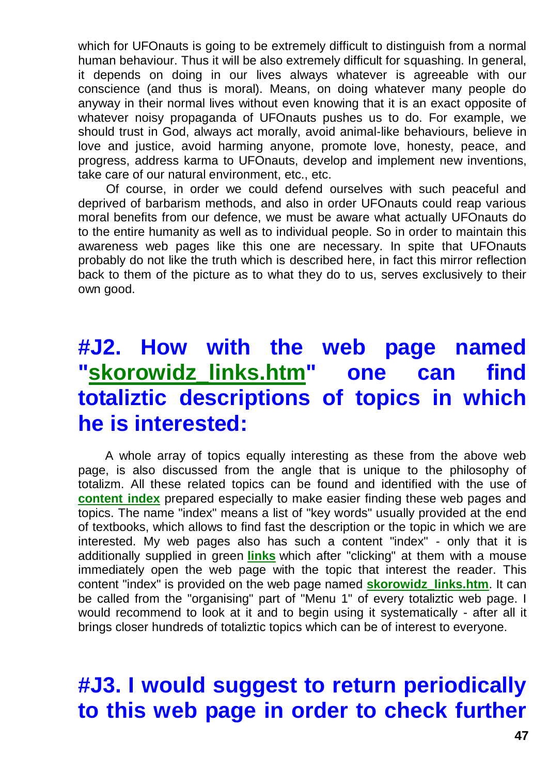which for UFOnauts is going to be extremely difficult to distinguish from a normal human behaviour. Thus it will be also extremely difficult for squashing. In general, it depends on doing in our lives always whatever is agreeable with our conscience (and thus is moral). Means, on doing whatever many people do anyway in their normal lives without even knowing that it is an exact opposite of whatever noisy propaganda of UFOnauts pushes us to do. For example, we should trust in God, always act morally, avoid animal-like behaviours, believe in love and justice, avoid harming anyone, promote love, honesty, peace, and progress, address karma to UFOnauts, develop and implement new inventions, take care of our natural environment, etc., etc.

Of course, in order we could defend ourselves with such peaceful and deprived of barbarism methods, and also in order UFOnauts could reap various moral benefits from our defence, we must be aware what actually UFOnauts do to the entire humanity as well as to individual people. So in order to maintain this awareness web pages like this one are necessary. In spite that UFOnauts probably do not like the truth which is described here, in fact this mirror reflection back to them of the picture as to what they do to us, serves exclusively to their own good.

# **#J2. How with the web page named ["skorowidz\\_links.htm"](http://totalizm.com.pl/skorowidz_links.htm) one can find totaliztic descriptions of topics in which he is interested:**

A whole array of topics equally interesting as these from the above web page, is also discussed from the angle that is unique to the philosophy of totalizm. All these related topics can be found and identified with the use of **[content index](http://totalizm.com.pl/skorowidz_links.htm)** prepared especially to make easier finding these web pages and topics. The name "index" means a list of "key words" usually provided at the end of textbooks, which allows to find fast the description or the topic in which we are interested. My web pages also has such a content "index" - only that it is additionally supplied in green **[links](http://totalizm.com.pl/tornado.htm)** which after "clicking" at them with a mouse immediately open the web page with the topic that interest the reader. This content "index" is provided on the web page named **[skorowidz\\_links.htm](http://totalizm.com.pl/skorowidz_links.htm)**. It can be called from the "organising" part of "Menu 1" of every totaliztic web page. I would recommend to look at it and to begin using it systematically - after all it brings closer hundreds of totaliztic topics which can be of interest to everyone.

# **#J3. I would suggest to return periodically to this web page in order to check further**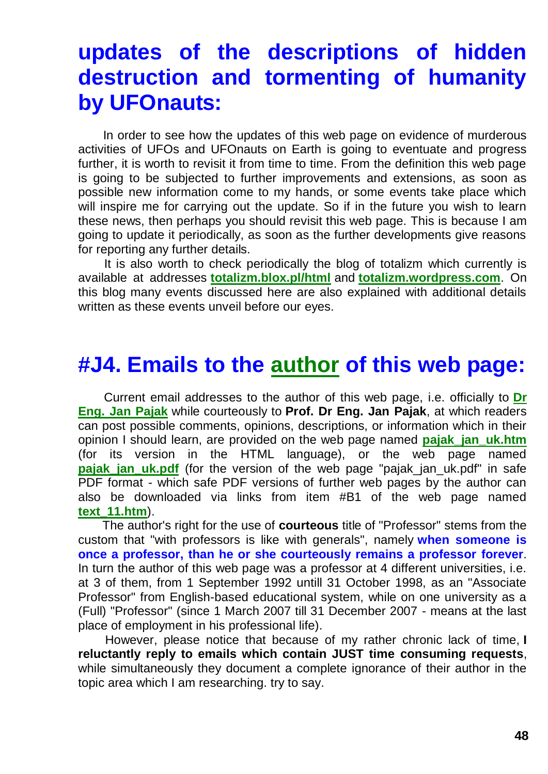## **updates of the descriptions of hidden destruction and tormenting of humanity by UFOnauts:**

In order to see how the updates of this web page on evidence of murderous activities of UFOs and UFOnauts on Earth is going to eventuate and progress further, it is worth to revisit it from time to time. From the definition this web page is going to be subjected to further improvements and extensions, as soon as possible new information come to my hands, or some events take place which will inspire me for carrying out the update. So if in the future you wish to learn these news, then perhaps you should revisit this web page. This is because I am going to update it periodically, as soon as the further developments give reasons for reporting any further details.

It is also worth to check periodically the blog of totalizm which currently is available at addresses **[totalizm.blox.pl/html](http://totalizm.blox.pl/html/)** and **[totalizm.wordpress.com](http://totalizm.wordpress.com/)**. On this blog many events discussed here are also explained with additional details written as these events unveil before our eyes.

#### **#J4. Emails to the [author](http://totalizm.com.pl/pajak_jan_uk.htm) of this web page:**

Current email addresses to the author of this web page, i.e. officially to **[Dr](http://images.google.co.nz/images?hl=en&q=Jan+Pajak&btnG=Search+Images&gbv=1)  [Eng. Jan Pajak](http://images.google.co.nz/images?hl=en&q=Jan+Pajak&btnG=Search+Images&gbv=1)** while courteously to **Prof. Dr Eng. Jan Pajak**, at which readers can post possible comments, opinions, descriptions, or information which in their opinion I should learn, are provided on the web page named **[pajak\\_jan\\_uk.htm](http://totalizm.com.pl/pajak_jan_uk.htm)** (for its version in the HTML language), or the web page named **pajak jan uk.pdf** (for the version of the web page "pajak jan uk.pdf" in safe PDF format - which safe PDF versions of further web pages by the author can also be downloaded via links from item #B1 of the web page named **[text\\_11.htm](http://totalizm.com.pl/text_11.htm)**).

The author's right for the use of **courteous** title of "Professor" stems from the custom that "with professors is like with generals", namely **when someone is once a professor, than he or she courteously remains a professor forever**. In turn the author of this web page was a professor at 4 different universities, i.e. at 3 of them, from 1 September 1992 untill 31 October 1998, as an "Associate Professor" from English-based educational system, while on one university as a (Full) "Professor" (since 1 March 2007 till 31 December 2007 - means at the last place of employment in his professional life).

However, please notice that because of my rather chronic lack of time, **I reluctantly reply to emails which contain JUST time consuming requests**, while simultaneously they document a complete ignorance of their author in the topic area which I am researching. try to say.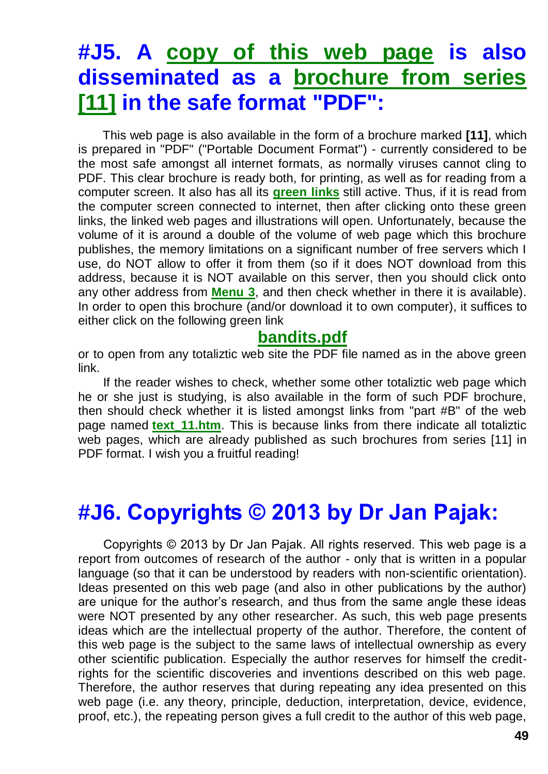### **#J5. A [copy of this web page](http://totalizm.com.pl/bandits.pdf) is also disseminated as a [brochure from series](http://totalizm.com.pl/text_11.htm)  [\[11\]](http://totalizm.com.pl/text_11.htm) in the safe format "PDF":**

This web page is also available in the form of a brochure marked **[11]**, which is prepared in "PDF" ("Portable Document Format") - currently considered to be the most safe amongst all internet formats, as normally viruses cannot cling to PDF. This clear brochure is ready both, for printing, as well as for reading from a computer screen. It also has all its **[green links](http://totalizm.com.pl/antichrist.htm)** still active. Thus, if it is read from the computer screen connected to internet, then after clicking onto these green links, the linked web pages and illustrations will open. Unfortunately, because the volume of it is around a double of the volume of web page which this brochure publishes, the memory limitations on a significant number of free servers which I use, do NOT allow to offer it from them (so if it does NOT download from this address, because it is NOT available on this server, then you should click onto any other address from **[Menu 3](http://totalizm.com.pl/menu.htm)**, and then check whether in there it is available). In order to open this brochure (and/or download it to own computer), it suffices to either click on the following green link

#### **[bandits.pdf](http://totalizm.com.pl/bandits.pdf)**

or to open from any totaliztic web site the PDF file named as in the above green link.

If the reader wishes to check, whether some other totaliztic web page which he or she just is studying, is also available in the form of such PDF brochure, then should check whether it is listed amongst links from "part #B" of the web page named **[text\\_11.htm](http://totalizm.com.pl/text_11.htm)**. This is because links from there indicate all totaliztic web pages, which are already published as such brochures from series [11] in PDF format. I wish you a fruitful reading!

### **#J6. Copyrights © 2013 by Dr Jan Pajak:**

Copyrights © 2013 by Dr Jan Pajak. All rights reserved. This web page is a report from outcomes of research of the author - only that is written in a popular language (so that it can be understood by readers with non-scientific orientation). Ideas presented on this web page (and also in other publications by the author) are unique for the author's research, and thus from the same angle these ideas were NOT presented by any other researcher. As such, this web page presents ideas which are the intellectual property of the author. Therefore, the content of this web page is the subject to the same laws of intellectual ownership as every other scientific publication. Especially the author reserves for himself the creditrights for the scientific discoveries and inventions described on this web page. Therefore, the author reserves that during repeating any idea presented on this web page (i.e. any theory, principle, deduction, interpretation, device, evidence, proof, etc.), the repeating person gives a full credit to the author of this web page,